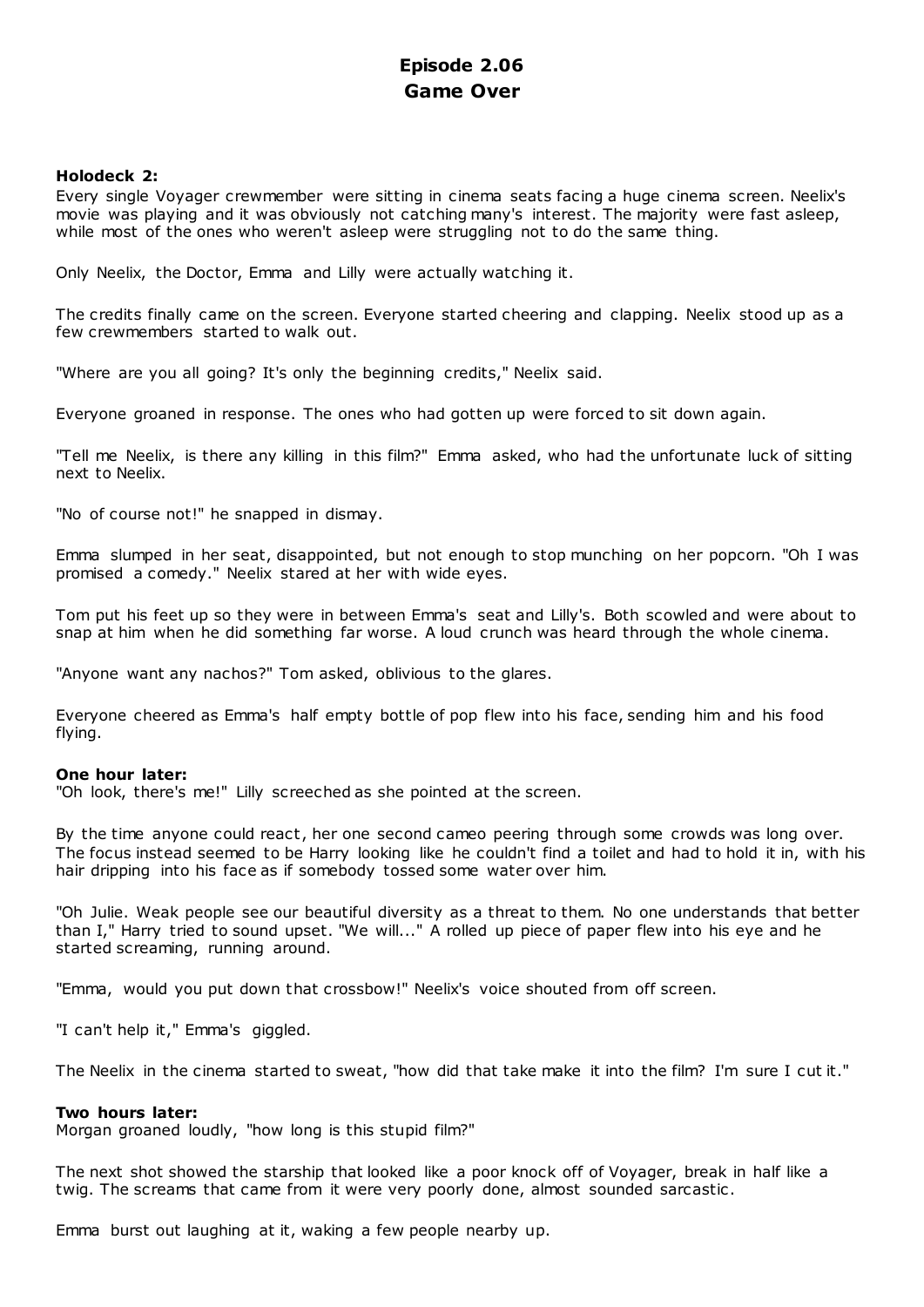# **Episode 2.06 Game Over**

## **Holodeck 2:**

Every single Voyager crewmember were sitting in cinema seats facing a huge cinema screen. Neelix's movie was playing and it was obviously not catching many's interest. The majority were fast asleep, while most of the ones who weren't asleep were struggling not to do the same thing.

Only Neelix, the Doctor, Emma and Lilly were actually watching it.

The credits finally came on the screen. Everyone started cheering and clapping. Neelix stood up as a few crewmembers started to walk out.

"Where are you all going? It's only the beginning credits," Neelix said.

Everyone groaned in response. The ones who had gotten up were forced to sit down again.

"Tell me Neelix, is there any killing in this film?" Emma asked, who had the unfortunate luck of sitting next to Neelix.

"No of course not!" he snapped in dismay.

Emma slumped in her seat, disappointed, but not enough to stop munching on her popcorn. "Oh I was promised a comedy." Neelix stared at her with wide eyes.

Tom put his feet up so they were in between Emma's seat and Lilly's. Both scowled and were about to snap at him when he did something far worse. A loud crunch was heard through the whole cinema.

"Anyone want any nachos?" Tom asked, oblivious to the glares.

Everyone cheered as Emma's half empty bottle of pop flew into his face, sending him and his food flying.

### **One hour later:**

"Oh look, there's me!" Lilly screeched as she pointed at the screen.

By the time anyone could react, her one second cameo peering through some crowds was long over. The focus instead seemed to be Harry looking like he couldn't find a toilet and had to hold it in, with his hair dripping into his face as if somebody tossed some water over him.

"Oh Julie. Weak people see our beautiful diversity as a threat to them. No one understands that better than I," Harry tried to sound upset. "We will..." A rolled up piece of paper flew into his eye and he started screaming, running around.

"Emma, would you put down that crossbow!" Neelix's voice shouted from off screen.

"I can't help it," Emma's giggled.

The Neelix in the cinema started to sweat, "how did that take make it into the film? I'm sure I cut it."

### **Two hours later:**

Morgan groaned loudly, "how long is this stupid film?"

The next shot showed the starship that looked like a poor knock off of Voyager, break in half like a twig. The screams that came from it were very poorly done, almost sounded sarcastic .

Emma burst out laughing at it, waking a few people nearby up.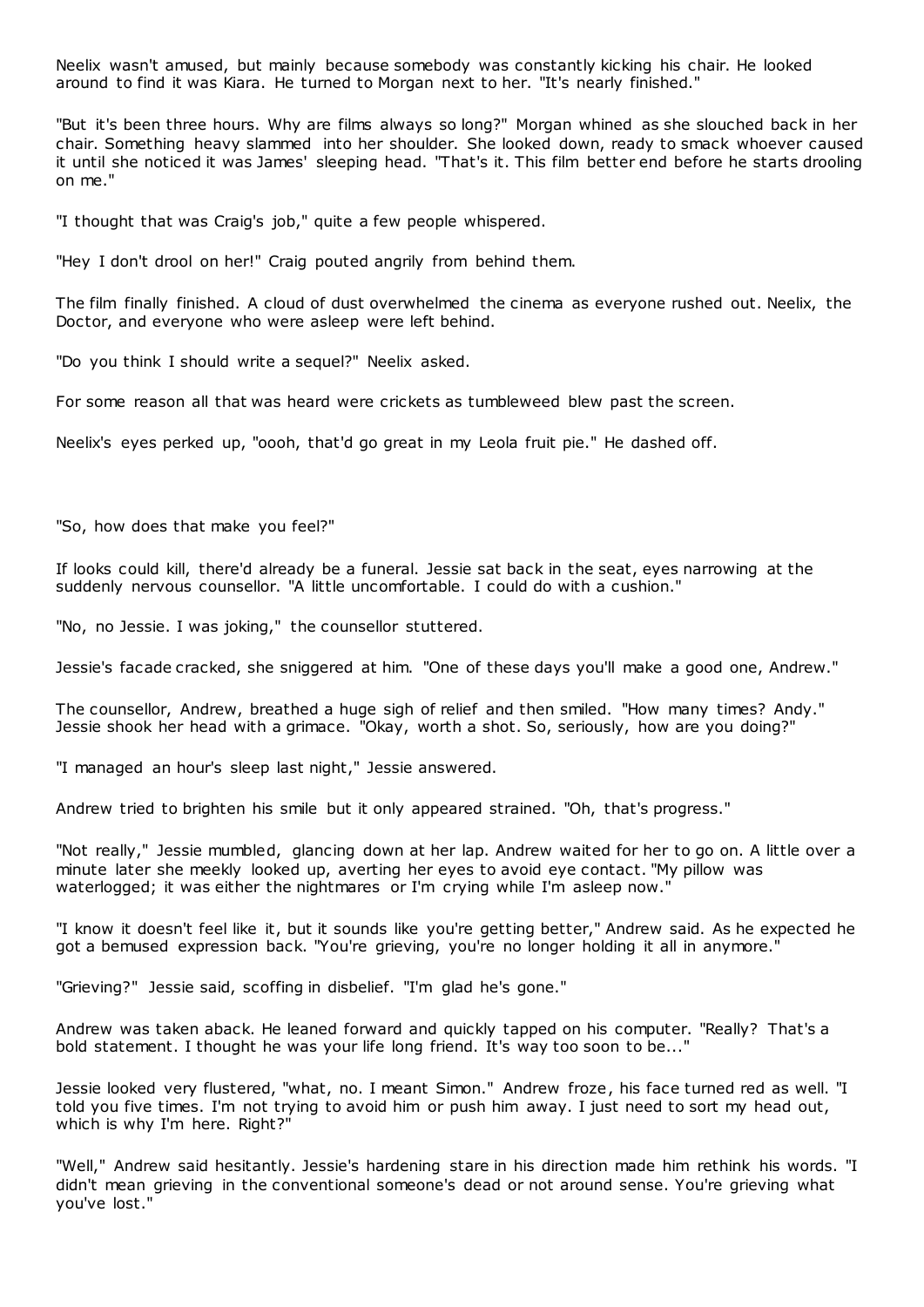Neelix wasn't amused, but mainly because somebody was constantly kicking his chair. He looked around to find it was Kiara. He turned to Morgan next to her. "It's nearly finished."

"But it's been three hours. Why are films always so long?" Morgan whined as she slouched back in her chair. Something heavy slammed into her shoulder. She looked down, ready to smack whoever caused it until she noticed it was James' sleeping head. "That's it. This film better end before he starts drooling on me."

"I thought that was Craig's job," quite a few people whispered.

"Hey I don't drool on her!" Craig pouted angrily from behind them.

The film finally finished. A cloud of dust overwhelmed the cinema as everyone rushed out. Neelix, the Doctor, and everyone who were asleep were left behind.

"Do you think I should write a sequel?" Neelix asked.

For some reason all that was heard were crickets as tumbleweed blew past the screen.

Neelix's eyes perked up, "oooh, that'd go great in my Leola fruit pie." He dashed off.

"So, how does that make you feel?"

If looks could kill, there'd already be a funeral. Jessie sat back in the seat, eyes narrowing at the suddenly nervous counsellor. "A little uncomfortable. I could do with a cushion."

"No, no Jessie. I was joking," the counsellor stuttered.

Jessie's facade cracked, she sniggered at him. "One of these days you'll make a good one, Andrew."

The counsellor, Andrew, breathed a huge sigh of relief and then smiled. "How many times? Andy." Jessie shook her head with a grimace. "Okay, worth a shot. So, seriously, how are you doing?"

"I managed an hour's sleep last night," Jessie answered.

Andrew tried to brighten his smile but it only appeared strained. "Oh, that's progress."

"Not really," Jessie mumbled, glancing down at her lap. Andrew waited for her to go on. A little over a minute later she meekly looked up, averting her eyes to avoid eye contact. "My pillow was waterlogged; it was either the nightmares or I'm crying while I'm asleep now.'

"I know it doesn't feel like it, but it sounds like you're getting better," Andrew said. As he expected he got a bemused expression back. "You're grieving, you're no longer holding it all in anymore."

"Grieving?" Jessie said, scoffing in disbelief. "I'm glad he's gone."

Andrew was taken aback. He leaned forward and quickly tapped on his computer. "Really? That's a bold statement. I thought he was your life long friend. It's way too soon to be..."

Jessie looked very flustered, "what, no. I meant Simon." Andrew froze, his face turned red as well. "I told you five times. I'm not trying to avoid him or push him away. I just need to sort my head out, which is why I'm here. Right?"

"Well," Andrew said hesitantly. Jessie's hardening stare in his direction made him rethink his words. "I didn't mean grieving in the conventional someone's dead or not around sense. You're grieving what you've lost."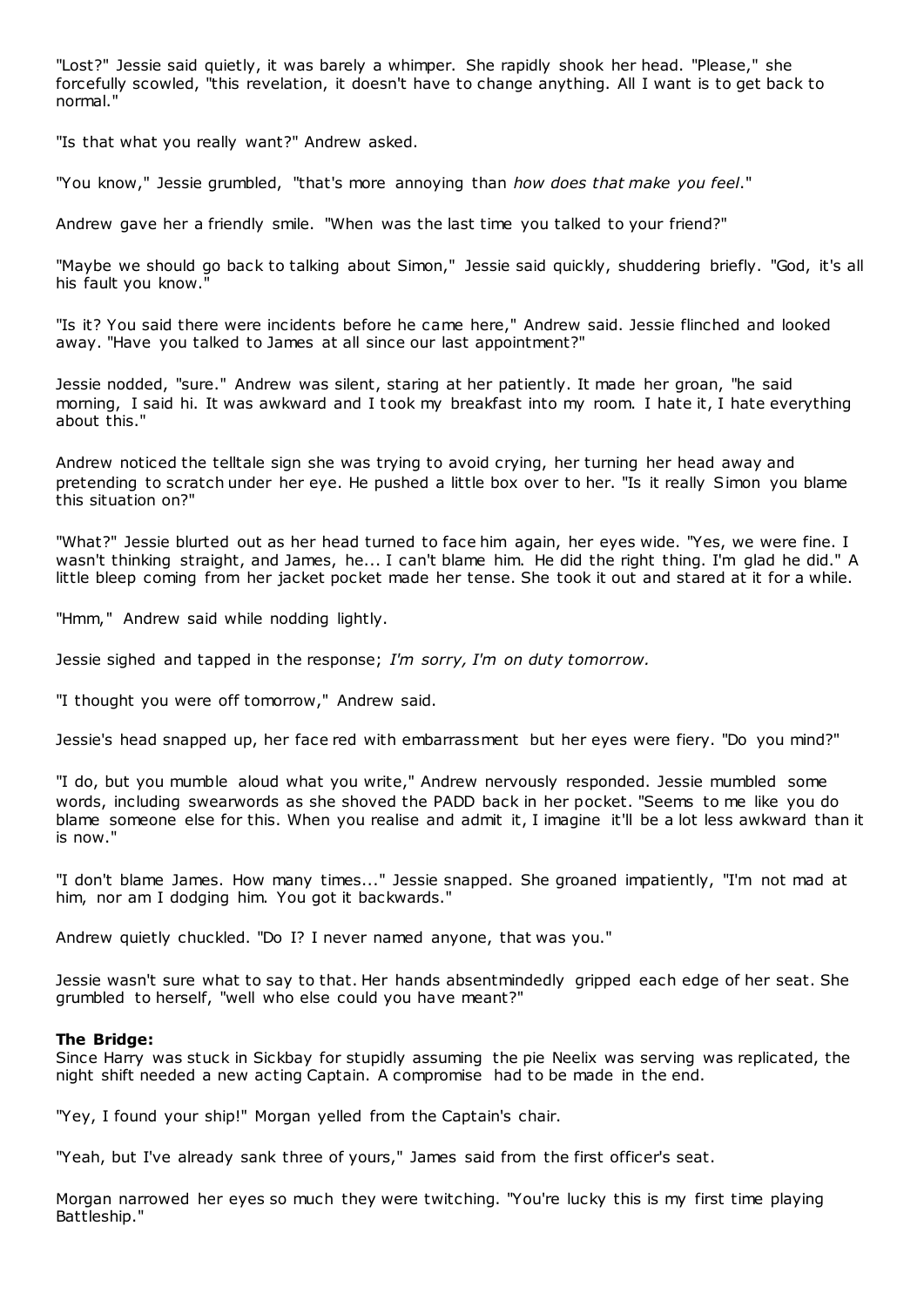"Lost?" Jessie said quietly, it was barely a whimper. She rapidly shook her head. "Please," she forcefully scowled, "this revelation, it doesn't have to change anything. All I want is to get back to normal."

"Is that what you really want?" Andrew asked.

"You know," Jessie grumbled, "that's more annoying than *how does that make you feel*."

Andrew gave her a friendly smile. "When was the last time you talked to your friend?"

"Maybe we should go back to talking about Simon," Jessie said quickly, shuddering briefly. "God, it's all his fault you know."

"Is it? You said there were incidents before he came here," Andrew said. Jessie flinched and looked away. "Have you talked to James at all since our last appointment?"

Jessie nodded, "sure." Andrew was silent, staring at her patiently. It made her groan, "he said morning, I said hi. It was awkward and I took my breakfast into my room. I hate it, I hate everything about this."

Andrew noticed the telltale sign she was trying to avoid crying, her turning her head away and pretending to scratch under her eye. He pushed a little box over to her. "Is it really Simon you blame this situation on?"

"What?" Jessie blurted out as her head turned to face him again, her eyes wide. "Yes, we were fine. I wasn't thinking straight, and James, he... I can't blame him. He did the right thing. I'm glad he did." A little bleep coming from her jacket pocket made her tense. She took it out and stared at it for a while.

"Hmm," Andrew said while nodding lightly.

Jessie sighed and tapped in the response; *I'm sorry, I'm on duty tomorrow.*

"I thought you were off tomorrow," Andrew said.

Jessie's head snapped up, her face red with embarrassment but her eyes were fiery. "Do you mind?"

"I do, but you mumble aloud what you write," Andrew nervously responded. Jessie mumbled some words, including swearwords as she shoved the PADD back in her pocket. "Seems to me like you do blame someone else for this. When you realise and admit it, I imagine it'll be a lot less awkward than it is now."

"I don't blame James. How many times..." Jessie snapped. She groaned impatiently, "I'm not mad at him, nor am I dodging him. You got it backwards."

Andrew quietly chuckled. "Do I? I never named anyone, that was you."

Jessie wasn't sure what to say to that. Her hands absentmindedly gripped each edge of her seat. She grumbled to herself, "well who else could you have meant?"

### **The Bridge:**

Since Harry was stuck in Sickbay for stupidly assuming the pie Neelix was serving was replicated, the night shift needed a new acting Captain. A compromise had to be made in the end.

"Yey, I found your ship!" Morgan yelled from the Captain's chair.

"Yeah, but I've already sank three of yours," James said from the first officer's seat.

Morgan narrowed her eyes so much they were twitching. "You're lucky this is my first time playing Battleship."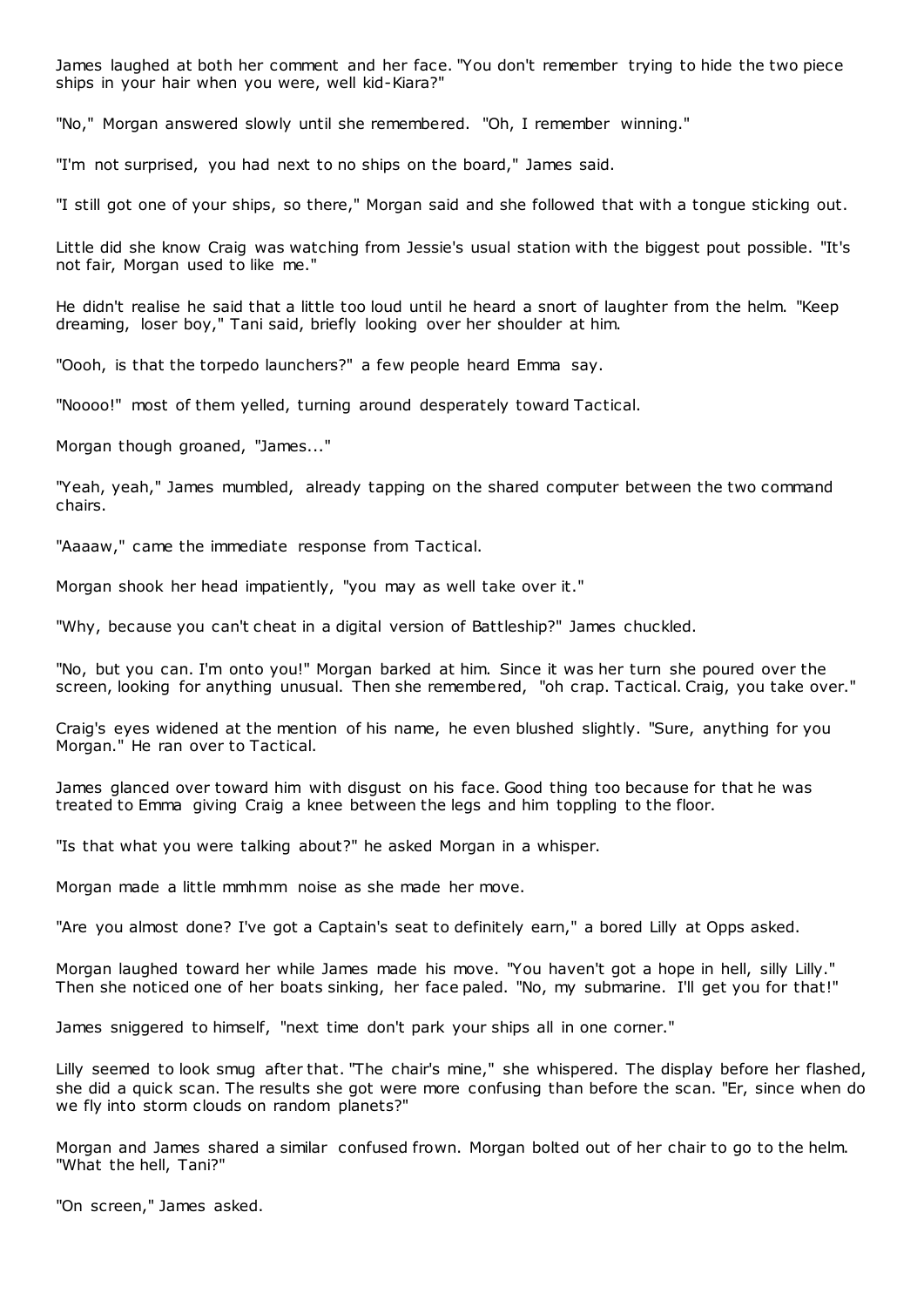James laughed at both her comment and her face. "You don't remember trying to hide the two piece ships in your hair when you were, well kid-Kiara?"

"No," Morgan answered slowly until she remembered. "Oh, I remember winning."

"I'm not surprised, you had next to no ships on the board," James said.

"I still got one of your ships, so there," Morgan said and she followed that with a tongue sticking out.

Little did she know Craig was watching from Jessie's usual station with the biggest pout possible. "It's not fair, Morgan used to like me."

He didn't realise he said that a little too loud until he heard a snort of laughter from the helm. "Keep dreaming, loser boy," Tani said, briefly looking over her shoulder at him.

"Oooh, is that the torpedo launchers?" a few people heard Emma say.

"Noooo!" most of them yelled, turning around desperately toward Tactical.

Morgan though groaned, "James..."

"Yeah, yeah," James mumbled, already tapping on the shared computer between the two command chairs.

"Aaaaw," came the immediate response from Tactical.

Morgan shook her head impatiently, "you may as well take over it."

"Why, because you can't cheat in a digital version of Battleship?" James chuckled.

"No, but you can. I'm onto you!" Morgan barked at him. Since it was her turn she poured over the screen, looking for anything unusual. Then she remembered, "oh crap. Tactical. Craig, you take over."

Craig's eyes widened at the mention of his name, he even blushed slightly. "Sure, anything for you Morgan." He ran over to Tactical.

James glanced over toward him with disgust on his face. Good thing too because for that he was treated to Emma giving Craig a knee between the legs and him toppling to the floor.

"Is that what you were talking about?" he asked Morgan in a whisper.

Morgan made a little mmhmm noise as she made her move.

"Are you almost done? I've got a Captain's seat to definitely earn," a bored Lilly at Opps asked.

Morgan laughed toward her while James made his move. "You haven't got a hope in hell, silly Lilly." Then she noticed one of her boats sinking, her face paled. "No, my submarine. I'll get you for that!"

James sniggered to himself, "next time don't park your ships all in one corner."

Lilly seemed to look smug after that. "The chair's mine," she whispered. The display before her flashed, she did a quick scan. The results she got were more confusing than before the scan. "Er, since when do we fly into storm clouds on random planets?"

Morgan and James shared a similar confused frown. Morgan bolted out of her chair to go to the helm. "What the hell, Tani?"

"On screen," James asked.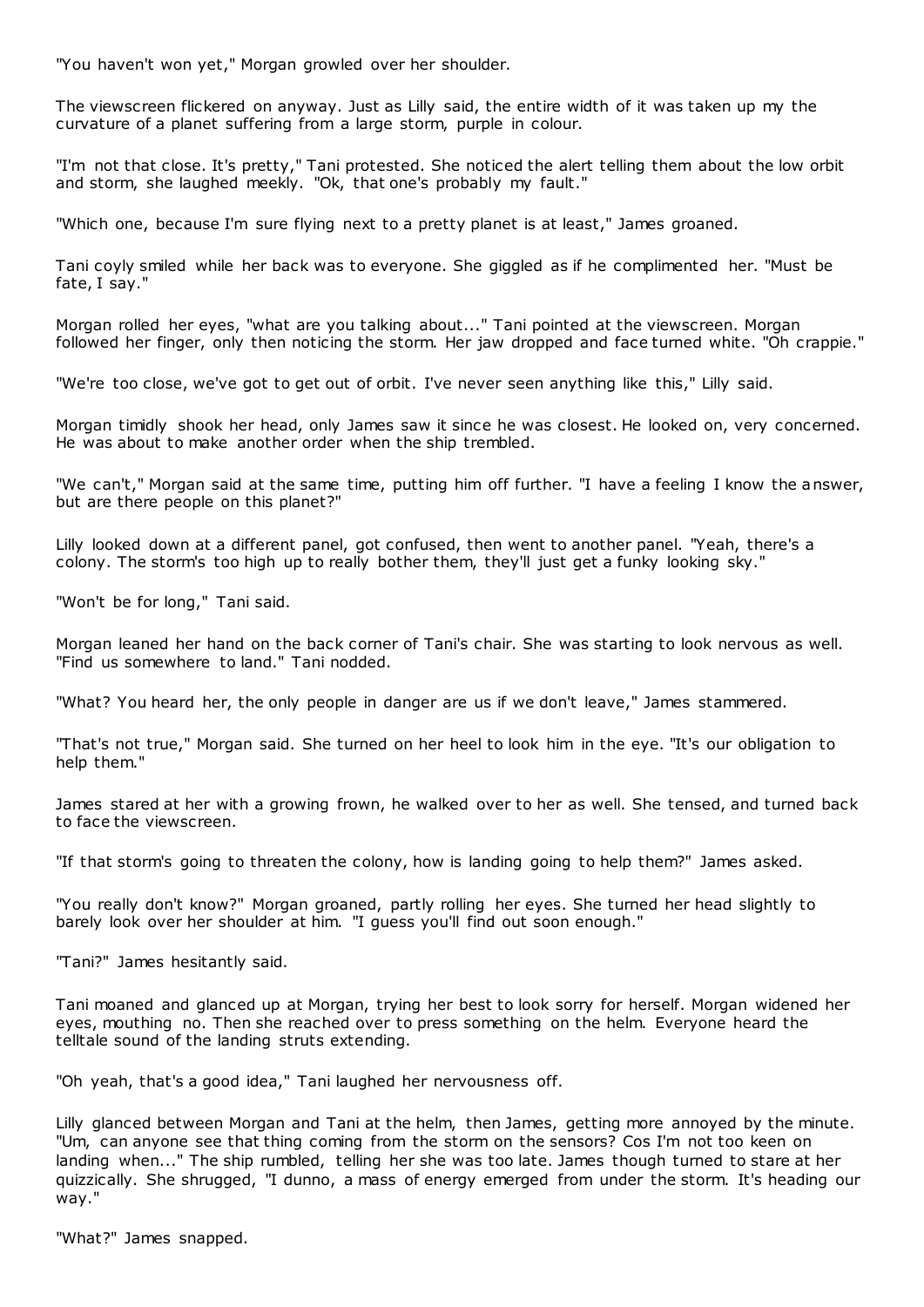"You haven't won yet," Morgan growled over her shoulder.

The viewscreen flickered on anyway. Just as Lilly said, the entire width of it was taken up my the curvature of a planet suffering from a large storm, purple in colour.

"I'm not that close. It's pretty," Tani protested. She noticed the alert telling them about the low orbit and storm, she laughed meekly. "Ok, that one's probably my fault."

"Which one, because I'm sure flying next to a pretty planet is at least," James groaned.

Tani coyly smiled while her back was to everyone. She giggled as if he complimented her. "Must be fate, I say."

Morgan rolled her eyes, "what are you talking about..." Tani pointed at the viewscreen. Morgan followed her finger, only then noticing the storm. Her jaw dropped and face turned white. "Oh crappie."

"We're too close, we've got to get out of orbit. I've never seen anything like this," Lilly said.

Morgan timidly shook her head, only James saw it since he was closest. He looked on, very concerned. He was about to make another order when the ship trembled.

"We can't," Morgan said at the same time, putting him off further. "I have a feeling I know the answer, but are there people on this planet?"

Lilly looked down at a different panel, got confused, then went to another panel. "Yeah, there's a colony. The storm's too high up to really bother them, they'll just get a funky looking sky."

"Won't be for long," Tani said.

Morgan leaned her hand on the back corner of Tani's chair. She was starting to look nervous as well. "Find us somewhere to land." Tani nodded.

"What? You heard her, the only people in danger are us if we don't leave," James stammered.

"That's not true," Morgan said. She turned on her heel to look him in the eye. "It's our obligation to help them."

James stared at her with a growing frown, he walked over to her as well. She tensed, and turned back to face the viewscreen.

"If that storm's going to threaten the colony, how is landing going to help them?" James asked.

"You really don't know?" Morgan groaned, partly rolling her eyes. She turned her head slightly to barely look over her shoulder at him. "I guess you'll find out soon enough."

"Tani?" James hesitantly said.

Tani moaned and glanced up at Morgan, trying her best to look sorry for herself. Morgan widened her eyes, mouthing no. Then she reached over to press something on the helm. Everyone heard the telltale sound of the landing struts extending.

"Oh yeah, that's a good idea," Tani laughed her nervousness off.

Lilly glanced between Morgan and Tani at the helm, then James, getting more annoyed by the minute. "Um, can anyone see that thing coming from the storm on the sensors? Cos I'm not too keen on landing when..." The ship rumbled, telling her she was too late. James though turned to stare at her quizzically. She shrugged, "I dunno, a mass of energy emerged from under the storm. It's heading our way."

"What?" James snapped.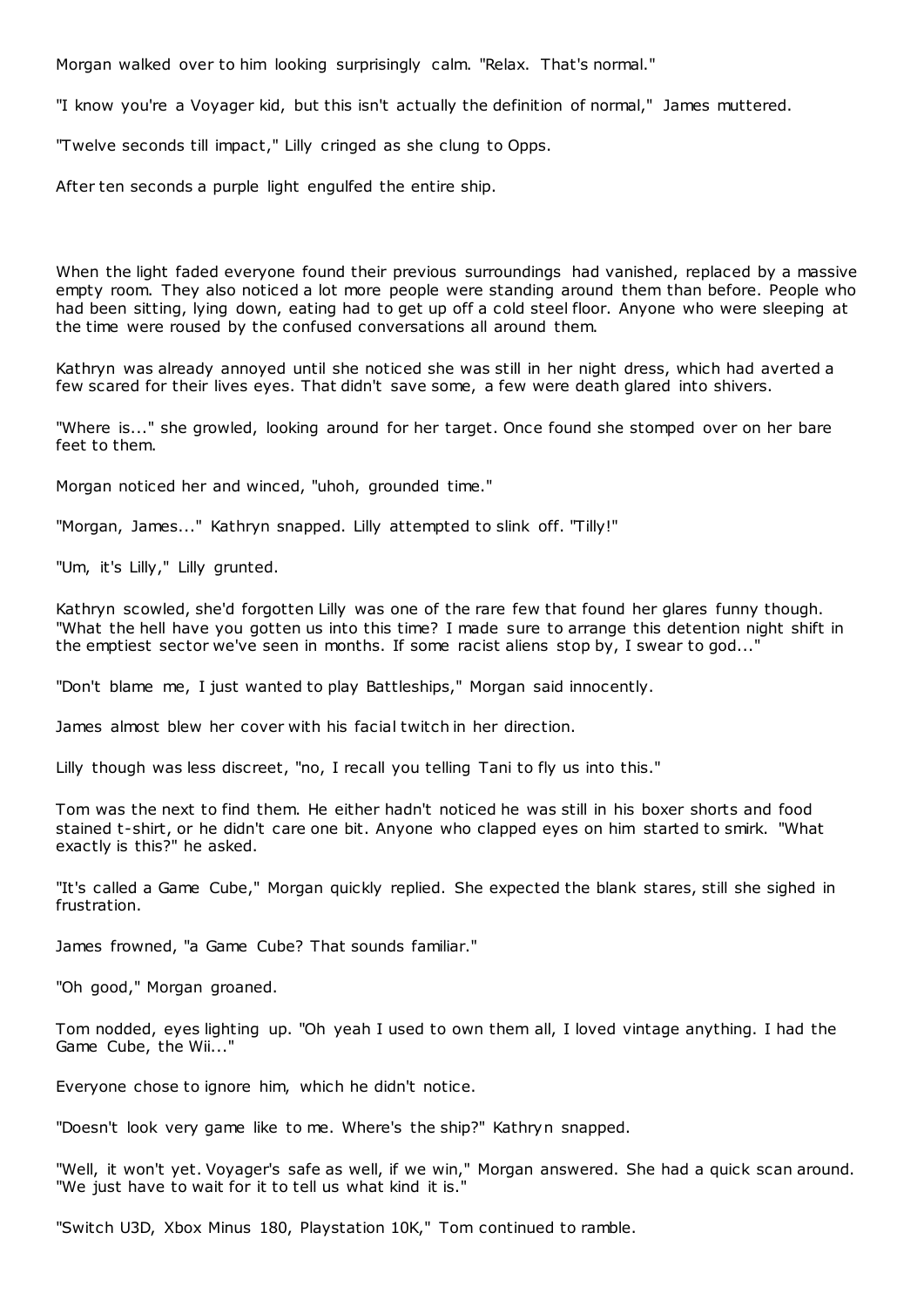Morgan walked over to him looking surprisingly calm. "Relax. That's normal."

"I know you're a Voyager kid, but this isn't actually the definition of normal," James muttered.

"Twelve seconds till impact," Lilly cringed as she clung to Opps.

After ten seconds a purple light engulfed the entire ship.

When the light faded everyone found their previous surroundings had vanished, replaced by a massive empty room. They also noticed a lot more people were standing around them than before. People who had been sitting, lying down, eating had to get up off a cold steel floor. Anyone who were sleeping at the time were roused by the confused conversations all around them.

Kathryn was already annoyed until she noticed she was still in her night dress, which had averted a few scared for their lives eyes. That didn't save some, a few were death glared into shivers.

"Where is..." she growled, looking around for her target. Once found she stomped over on her bare feet to them.

Morgan noticed her and winced, "uhoh, grounded time."

"Morgan, James..." Kathryn snapped. Lilly attempted to slink off. "Tilly!"

"Um, it's Lilly," Lilly grunted.

Kathryn scowled, she'd forgotten Lilly was one of the rare few that found her glares funny though. "What the hell have you gotten us into this time? I made sure to arrange this detention night shift in the emptiest sector we've seen in months. If some racist aliens stop by, I swear to god...'

"Don't blame me, I just wanted to play Battleships," Morgan said innocently.

James almost blew her cover with his facial twitch in her direction.

Lilly though was less discreet, "no, I recall you telling Tani to fly us into this."

Tom was the next to find them. He either hadn't noticed he was still in his boxer shorts and food stained t-shirt, or he didn't care one bit. Anyone who clapped eyes on him started to smirk. "What exactly is this?" he asked.

"It's called a Game Cube," Morgan quickly replied. She expected the blank stares, still she sighed in frustration.

James frowned, "a Game Cube? That sounds familiar."

"Oh good," Morgan groaned.

Tom nodded, eyes lighting up. "Oh yeah I used to own them all, I loved vintage anything. I had the Game Cube, the Wii..."

Everyone chose to ignore him, which he didn't notice.

"Doesn't look very game like to me. Where's the ship?" Kathryn snapped.

"Well, it won't yet. Voyager's safe as well, if we win," Morgan answered. She had a quick scan around. "We just have to wait for it to tell us what kind it is."

"Switch U3D, Xbox Minus 180, Playstation 10K," Tom continued to ramble.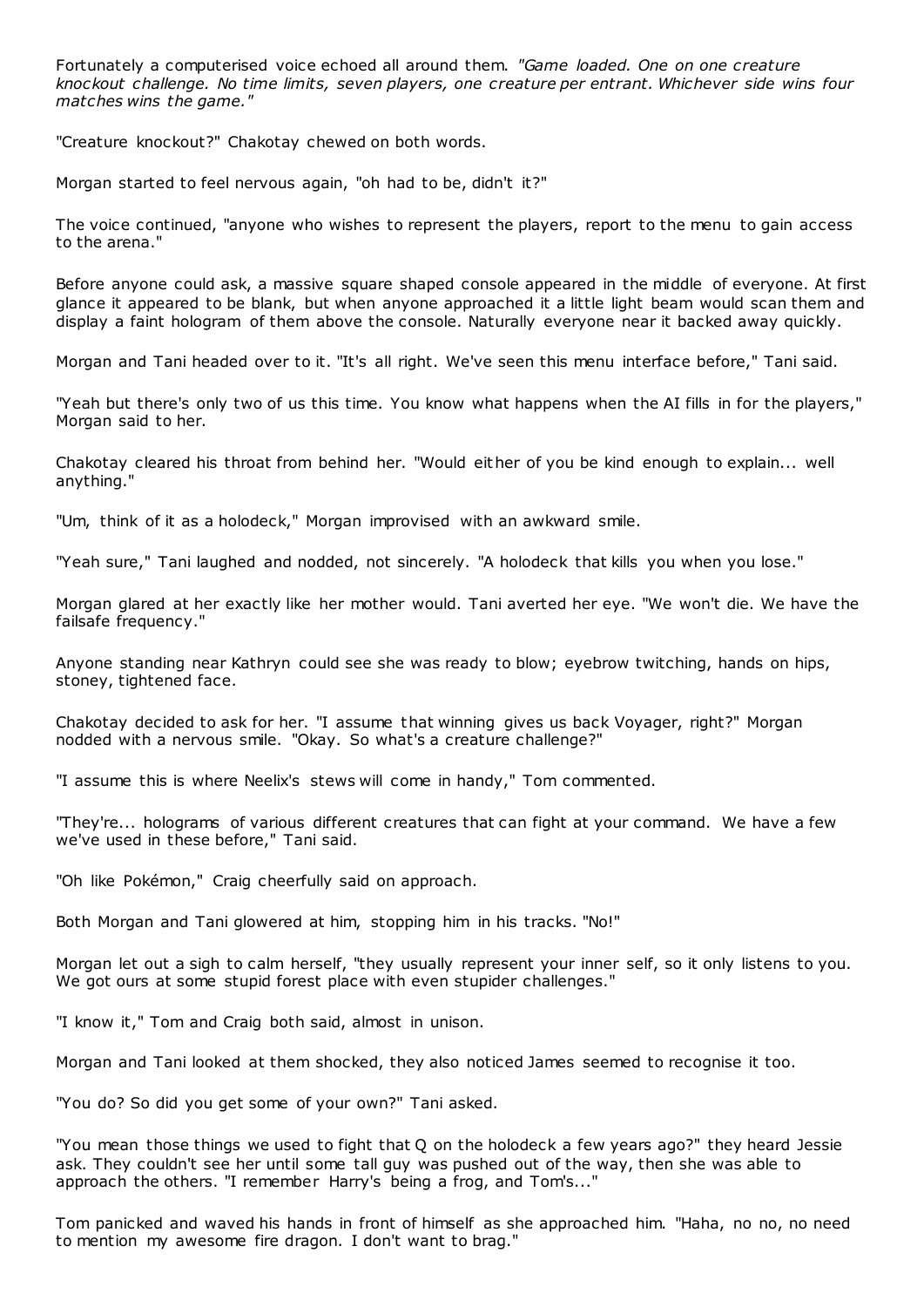Fortunately a computerised voice echoed all around them. *"Game loaded. One on one creature knockout challenge. No time limits, seven players, one creature per entrant. Whichever side wins four matches wins the game."*

"Creature knockout?" Chakotay chewed on both words.

Morgan started to feel nervous again, "oh had to be, didn't it?"

The voice continued, "anyone who wishes to represent the players, report to the menu to gain access to the arena."

Before anyone could ask, a massive square shaped console appeared in the middle of everyone. At first glance it appeared to be blank, but when anyone approached it a little light beam would scan them and display a faint hologram of them above the console. Naturally everyone near it backed away quickly.

Morgan and Tani headed over to it. "It's all right. We've seen this menu interface before," Tani said.

"Yeah but there's only two of us this time. You know what happens when the AI fills in for the players," Morgan said to her.

Chakotay cleared his throat from behind her. "Would either of you be kind enough to explain... well anything."

"Um, think of it as a holodeck," Morgan improvised with an awkward smile.

"Yeah sure," Tani laughed and nodded, not sincerely. "A holodeck that kills you when you lose."

Morgan glared at her exactly like her mother would. Tani averted her eye. "We won't die. We have the failsafe frequency."

Anyone standing near Kathryn could see she was ready to blow; eyebrow twitching, hands on hips, stoney, tightened face.

Chakotay decided to ask for her. "I assume that winning gives us back Voyager, right?" Morgan nodded with a nervous smile. "Okay. So what's a creature challenge?"

"I assume this is where Neelix's stews will come in handy," Tom commented.

"They're... holograms of various different creatures that can fight at your command. We have a few we've used in these before," Tani said.

"Oh like Pokémon," Craig cheerfully said on approach.

Both Morgan and Tani glowered at him, stopping him in his tracks. "No!"

Morgan let out a sigh to calm herself, "they usually represent your inner self, so it only listens to you. We got ours at some stupid forest place with even stupider challenges."

"I know it," Tom and Craig both said, almost in unison.

Morgan and Tani looked at them shocked, they also noticed James seemed to recognise it too.

"You do? So did you get some of your own?" Tani asked.

"You mean those things we used to fight that Q on the holodeck a few years ago?" they heard Jessie ask. They couldn't see her until some tall guy was pushed out of the way, then she was able to approach the others. "I remember Harry's being a frog, and Tom's..."

Tom panicked and waved his hands in front of himself as she approached him. "Haha, no no, no need to mention my awesome fire dragon. I don't want to brag."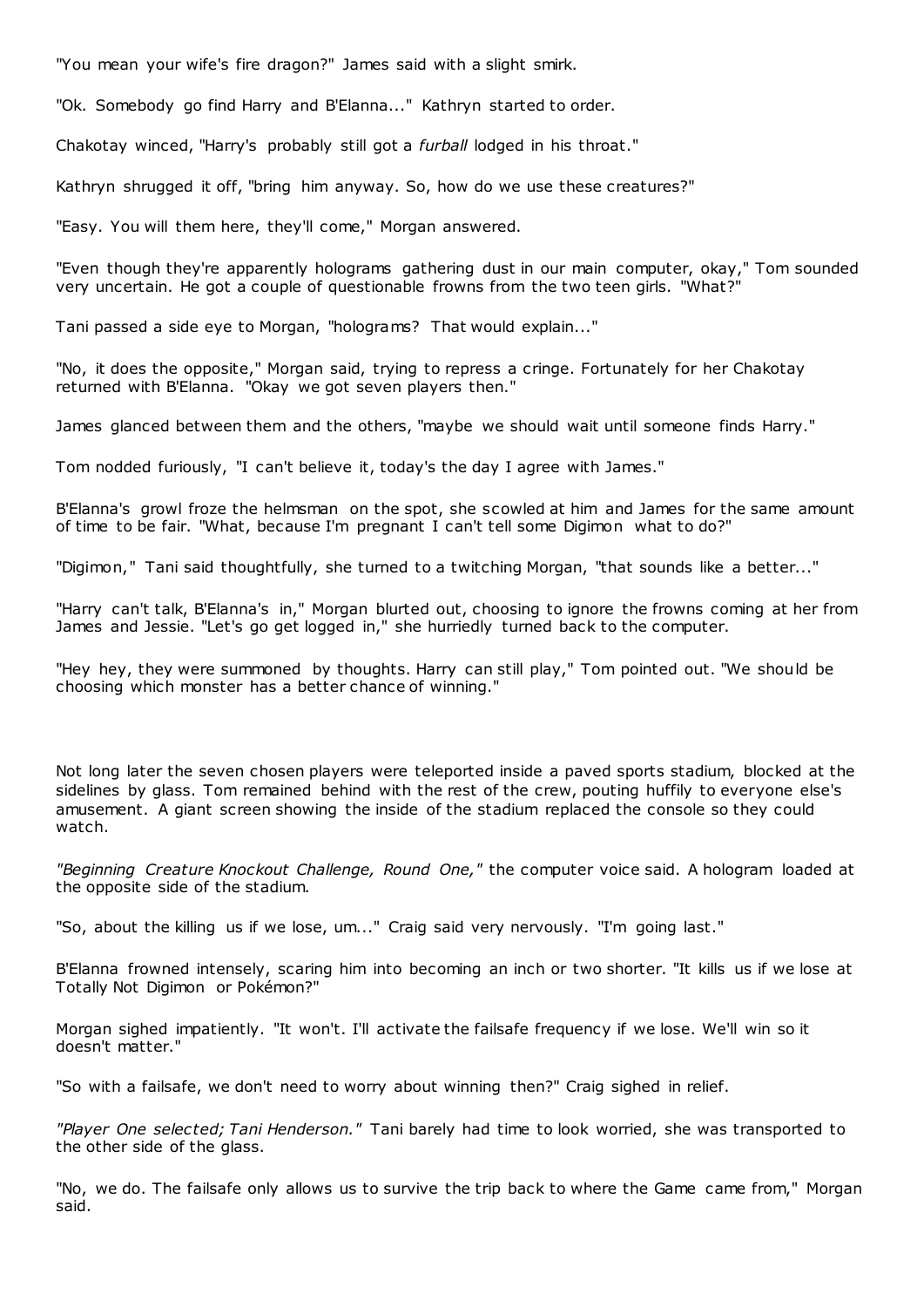"You mean your wife's fire dragon?" James said with a slight smirk.

"Ok. Somebody go find Harry and B'Elanna..." Kathryn started to order.

Chakotay winced, "Harry's probably still got a *furball* lodged in his throat."

Kathryn shrugged it off, "bring him anyway. So, how do we use these creatures?"

"Easy. You will them here, they'll come," Morgan answered.

"Even though they're apparently holograms gathering dust in our main computer, okay," Tom sounded very uncertain. He got a couple of questionable frowns from the two teen girls. "What?"

Tani passed a side eye to Morgan, "holograms? That would explain..."

"No, it does the opposite," Morgan said, trying to repress a cringe. Fortunately for her Chakotay returned with B'Elanna. "Okay we got seven players then."

James glanced between them and the others, "maybe we should wait until someone finds Harry."

Tom nodded furiously, "I can't believe it, today's the day I agree with James."

B'Elanna's growl froze the helmsman on the spot, she scowled at him and James for the same amount of time to be fair. "What, because I'm pregnant I can't tell some Digimon what to do?"

"Digimon," Tani said thoughtfully, she turned to a twitching Morgan, "that sounds like a better..."

"Harry can't talk, B'Elanna's in," Morgan blurted out, choosing to ignore the frowns coming at her from James and Jessie. "Let's go get logged in," she hurriedly turned back to the computer.

"Hey hey, they were summoned by thoughts. Harry can still play," Tom pointed out. "We should be choosing which monster has a better chance of winning."

Not long later the seven chosen players were teleported inside a paved sports stadium, blocked at the sidelines by glass. Tom remained behind with the rest of the crew, pouting huffily to everyone else's amusement. A giant screen showing the inside of the stadium replaced the console so they could watch.

*"Beginning Creature Knockout Challenge, Round One,"* the computer voice said. A hologram loaded at the opposite side of the stadium.

"So, about the killing us if we lose, um..." Craig said very nervously. "I'm going last."

B'Elanna frowned intensely, scaring him into becoming an inch or two shorter. "It kills us if we lose at Totally Not Digimon or Pokémon?"

Morgan sighed impatiently. "It won't. I'll activate the failsafe frequency if we lose. We'll win so it doesn't matter."

"So with a failsafe, we don't need to worry about winning then?" Craig sighed in relief.

*"Player One selected; Tani Henderson."* Tani barely had time to look worried, she was transported to the other side of the glass.

"No, we do. The failsafe only allows us to survive the trip back to where the Game came from," Morgan said.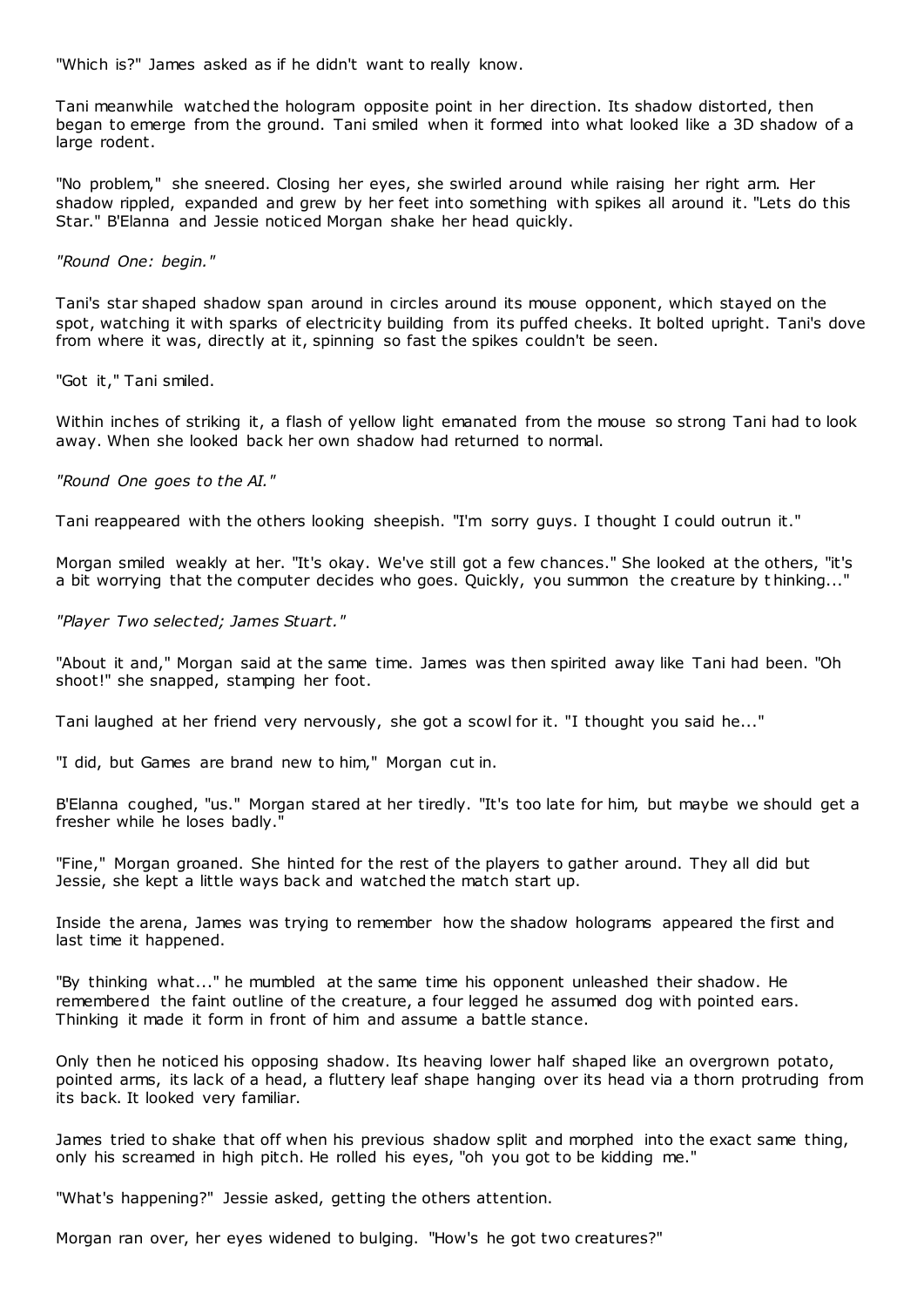"Which is?" James asked as if he didn't want to really know.

Tani meanwhile watched the hologram opposite point in her direction. Its shadow distorted, then began to emerge from the ground. Tani smiled when it formed into what looked like a 3D shadow of a large rodent.

"No problem," she sneered. Closing her eyes, she swirled around while raising her right arm. Her shadow rippled, expanded and grew by her feet into something with spikes all around it. "Lets do this Star." B'Elanna and Jessie noticed Morgan shake her head quickly.

*"Round One: begin."*

Tani's star shaped shadow span around in circles around its mouse opponent, which stayed on the spot, watching it with sparks of electricity building from its puffed cheeks. It bolted upright. Tani's dove from where it was, directly at it, spinning so fast the spikes couldn't be seen.

"Got it," Tani smiled.

Within inches of striking it, a flash of yellow light emanated from the mouse so strong Tani had to look away. When she looked back her own shadow had returned to normal.

*"Round One goes to the AI."*

Tani reappeared with the others looking sheepish. "I'm sorry guys. I thought I could outrun it."

Morgan smiled weakly at her. "It's okay. We've still got a few chances." She looked at the others, "it's a bit worrying that the computer decides who goes. Quickly, you summon the creature by t hinking..."

*"Player Two selected; James Stuart."*

"About it and," Morgan said at the same time. James was then spirited away like Tani had been. "Oh shoot!" she snapped, stamping her foot.

Tani laughed at her friend very nervously, she got a scowl for it. "I thought you said he..."

"I did, but Games are brand new to him," Morgan cut in.

B'Elanna coughed, "us." Morgan stared at her tiredly. "It's too late for him, but maybe we should get a fresher while he loses badly."

"Fine," Morgan groaned. She hinted for the rest of the players to gather around. They all did but Jessie, she kept a little ways back and watched the match start up.

Inside the arena, James was trying to remember how the shadow holograms appeared the first and last time it happened.

"By thinking what..." he mumbled at the same time his opponent unleashed their shadow. He remembered the faint outline of the creature, a four legged he assumed dog with pointed ears. Thinking it made it form in front of him and assume a battle stance.

Only then he noticed his opposing shadow. Its heaving lower half shaped like an overgrown potato, pointed arms, its lack of a head, a fluttery leaf shape hanging over its head via a thorn protruding from its back. It looked very familiar.

James tried to shake that off when his previous shadow split and morphed into the exact same thing, only his screamed in high pitch. He rolled his eyes, "oh you got to be kidding me."

"What's happening?" Jessie asked, getting the others attention.

Morgan ran over, her eyes widened to bulging. "How's he got two creatures?"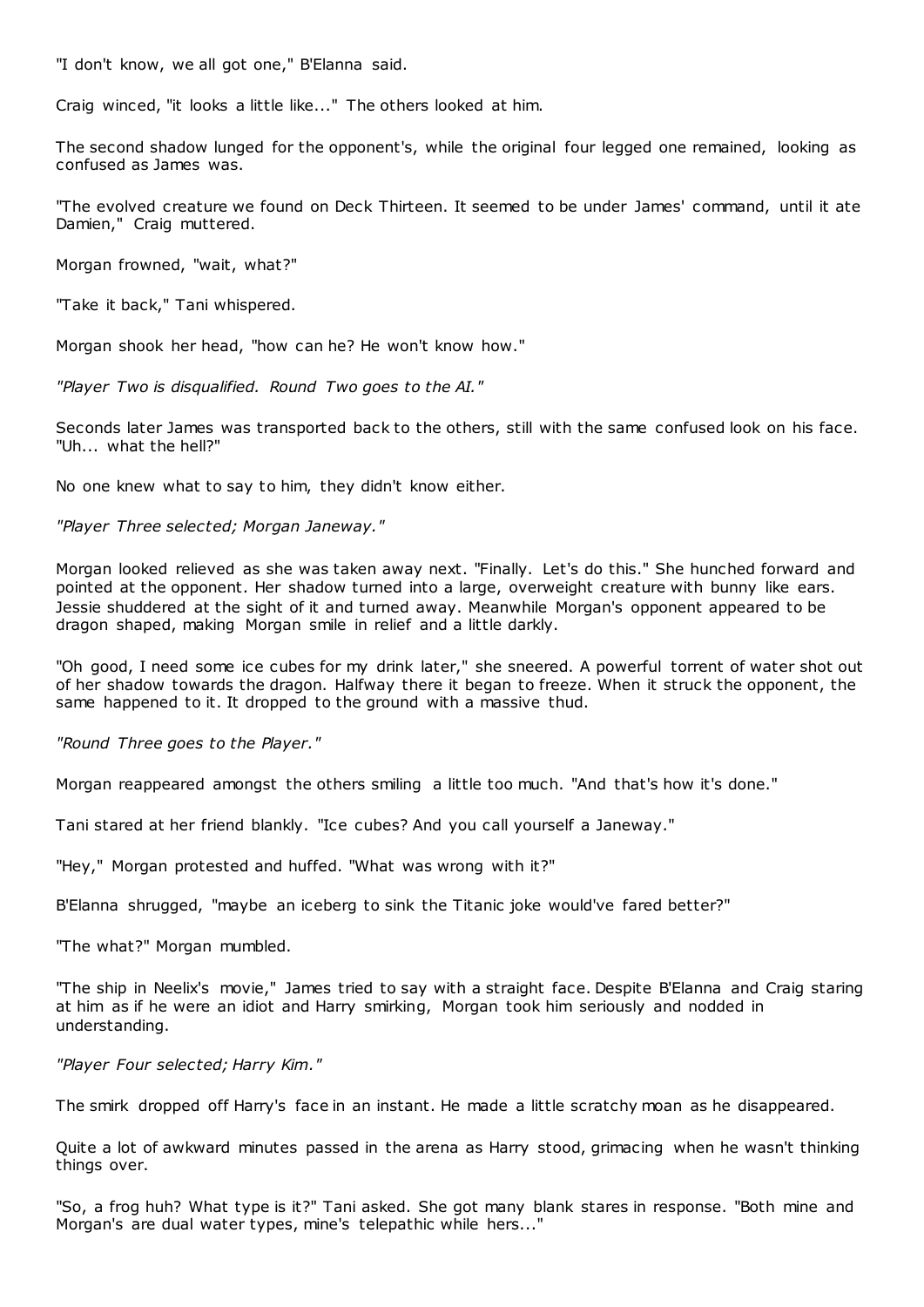"I don't know, we all got one," B'Elanna said.

Craig winced, "it looks a little like..." The others looked at him.

The second shadow lunged for the opponent's, while the original four legged one remained, looking as confused as James was.

"The evolved creature we found on Deck Thirteen. It seemed to be under James' command, until it ate Damien," Craig muttered.

Morgan frowned, "wait, what?"

"Take it back," Tani whispered.

Morgan shook her head, "how can he? He won't know how."

*"Player Two is disqualified. Round Two goes to the AI."*

Seconds later James was transported back to the others, still with the same confused look on his face. "Uh... what the hell?"

No one knew what to say to him, they didn't know either.

*"Player Three selected; Morgan Janeway."*

Morgan looked relieved as she was taken away next. "Finally. Let's do this." She hunched forward and pointed at the opponent. Her shadow turned into a large, overweight creature with bunny like ears. Jessie shuddered at the sight of it and turned away. Meanwhile Morgan's opponent appeared to be dragon shaped, making Morgan smile in relief and a little darkly.

"Oh good, I need some ice cubes for my drink later," she sneered. A powerful torrent of water shot out of her shadow towards the dragon. Halfway there it began to freeze. When it struck the opponent, the same happened to it. It dropped to the ground with a massive thud.

*"Round Three goes to the Player."*

Morgan reappeared amongst the others smiling a little too much. "And that's how it's done."

Tani stared at her friend blankly. "Ice cubes? And you call yourself a Janeway."

"Hey," Morgan protested and huffed. "What was wrong with it?"

B'Elanna shrugged, "maybe an iceberg to sink the Titanic joke would've fared better?"

"The what?" Morgan mumbled.

"The ship in Neelix's movie," James tried to say with a straight face. Despite B'Elanna and Craig staring at him as if he were an idiot and Harry smirking, Morgan took him seriously and nodded in understanding.

*"Player Four selected; Harry Kim."*

The smirk dropped off Harry's face in an instant. He made a little scratchy moan as he disappeared.

Quite a lot of awkward minutes passed in the arena as Harry stood, grimacing when he wasn't thinking things over.

"So, a frog huh? What type is it?" Tani asked. She got many blank stares in response. "Both mine and Morgan's are dual water types, mine's telepathic while hers..."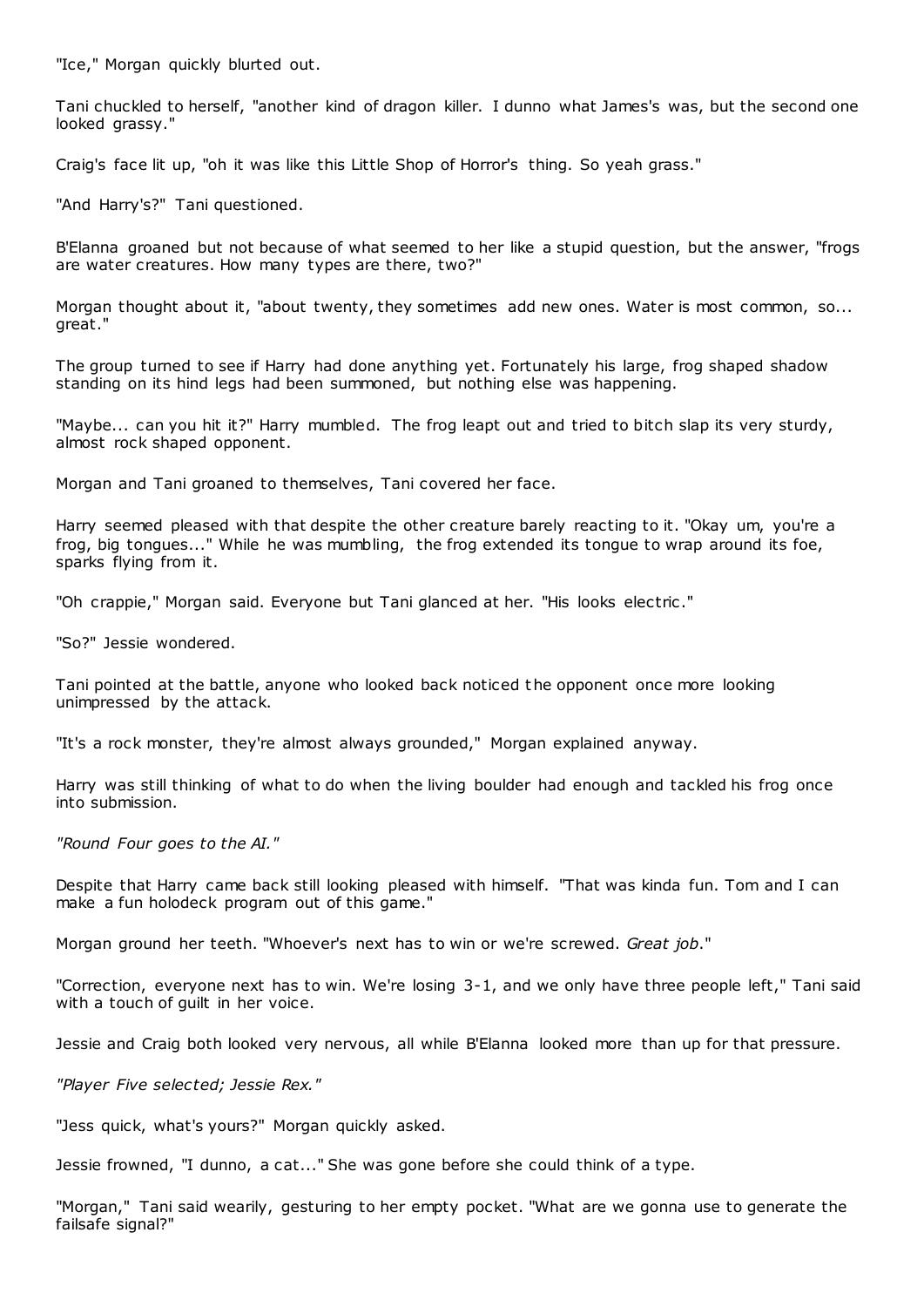"Ice," Morgan quickly blurted out.

Tani chuckled to herself, "another kind of dragon killer. I dunno what James's was, but the second one looked grassy."

Craig's face lit up, "oh it was like this Little Shop of Horror's thing. So yeah grass."

"And Harry's?" Tani questioned.

B'Elanna groaned but not because of what seemed to her like a stupid question, but the answer, "frogs are water creatures. How many types are there, two?"

Morgan thought about it, "about twenty, they sometimes add new ones. Water is most common, so... great."

The group turned to see if Harry had done anything yet. Fortunately his large, frog shaped shadow standing on its hind legs had been summoned, but nothing else was happening.

"Maybe... can you hit it?" Harry mumbled. The frog leapt out and tried to bitch slap its very sturdy, almost rock shaped opponent.

Morgan and Tani groaned to themselves, Tani covered her face.

Harry seemed pleased with that despite the other creature barely reacting to it. "Okay um, you're a frog, big tongues..." While he was mumbling, the frog extended its tongue to wrap around its foe, sparks flying from it.

"Oh crappie," Morgan said. Everyone but Tani glanced at her. "His looks electric ."

"So?" Jessie wondered.

Tani pointed at the battle, anyone who looked back noticed the opponent once more looking unimpressed by the attack.

"It's a rock monster, they're almost always grounded," Morgan explained anyway.

Harry was still thinking of what to do when the living boulder had enough and tackled his frog once into submission.

*"Round Four goes to the AI."*

Despite that Harry came back still looking pleased with himself. "That was kinda fun. Tom and I can make a fun holodeck program out of this game."

Morgan ground her teeth. "Whoever's next has to win or we're screwed. *Great job*."

"Correction, everyone next has to win. We're losing 3-1, and we only have three people left," Tani said with a touch of guilt in her voice.

Jessie and Craig both looked very nervous, all while B'Elanna looked more than up for that pressure.

*"Player Five selected; Jessie Rex."*

"Jess quick, what's yours?" Morgan quickly asked.

Jessie frowned, "I dunno, a cat..." She was gone before she could think of a type.

"Morgan," Tani said wearily, gesturing to her empty pocket. "What are we gonna use to generate the failsafe signal?"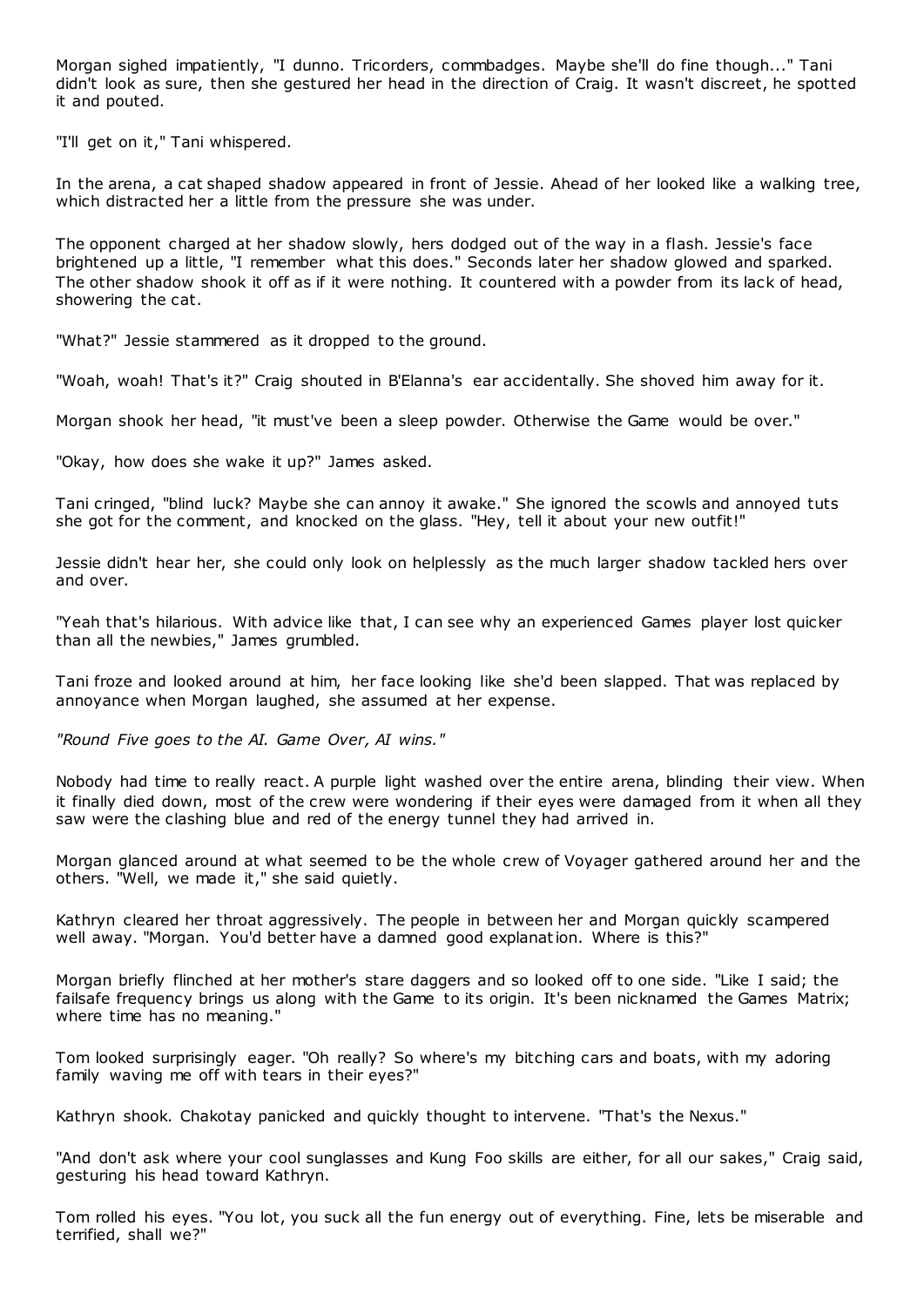Morgan sighed impatiently, "I dunno. Tricorders, commbadges. Maybe she'll do fine though..." Tani didn't look as sure, then she gestured her head in the direction of Craig. It wasn't discreet, he spotted it and pouted.

"I'll get on it," Tani whispered.

In the arena, a cat shaped shadow appeared in front of Jessie. Ahead of her looked like a walking tree, which distracted her a little from the pressure she was under.

The opponent charged at her shadow slowly, hers dodged out of the way in a flash. Jessie's face brightened up a little, "I remember what this does." Seconds later her shadow glowed and sparked. The other shadow shook it off as if it were nothing. It countered with a powder from its lack of head, showering the cat.

"What?" Jessie stammered as it dropped to the ground.

"Woah, woah! That's it?" Craig shouted in B'Elanna's ear accidentally. She shoved him away for it.

Morgan shook her head, "it must've been a sleep powder. Otherwise the Game would be over."

"Okay, how does she wake it up?" James asked.

Tani cringed, "blind luck? Maybe she can annoy it awake." She ignored the scowls and annoyed tuts she got for the comment, and knocked on the glass. "Hey, tell it about your new outfit!"

Jessie didn't hear her, she could only look on helplessly as the much larger shadow tackled hers over and over.

"Yeah that's hilarious. With advice like that, I can see why an experienced Games player lost quicker than all the newbies," James grumbled.

Tani froze and looked around at him, her face looking like she'd been slapped. That was replaced by annoyance when Morgan laughed, she assumed at her expense.

*"Round Five goes to the AI. Game Over, AI wins."*

Nobody had time to really react. A purple light washed over the entire arena, blinding their view. When it finally died down, most of the crew were wondering if their eyes were damaged from it when all they saw were the clashing blue and red of the energy tunnel they had arrived in.

Morgan glanced around at what seemed to be the whole crew of Voyager gathered around her and the others. "Well, we made it," she said quietly.

Kathryn cleared her throat aggressively. The people in between her and Morgan quickly scampered well away. "Morgan. You'd better have a damned good explanation. Where is this?"

Morgan briefly flinched at her mother's stare daggers and so looked off to one side. "Like I said; the failsafe frequency brings us along with the Game to its origin. It's been nicknamed the Games Matrix; where time has no meaning."

Tom looked surprisingly eager. "Oh really? So where's my bitching cars and boats, with my adoring family waving me off with tears in their eyes?"

Kathryn shook. Chakotay panicked and quickly thought to intervene. "That's the Nexus."

"And don't ask where your cool sunglasses and Kung Foo skills are either, for all our sakes," Craig said, gesturing his head toward Kathryn.

Tom rolled his eyes. "You lot, you suck all the fun energy out of everything. Fine, lets be miserable and terrified, shall we?"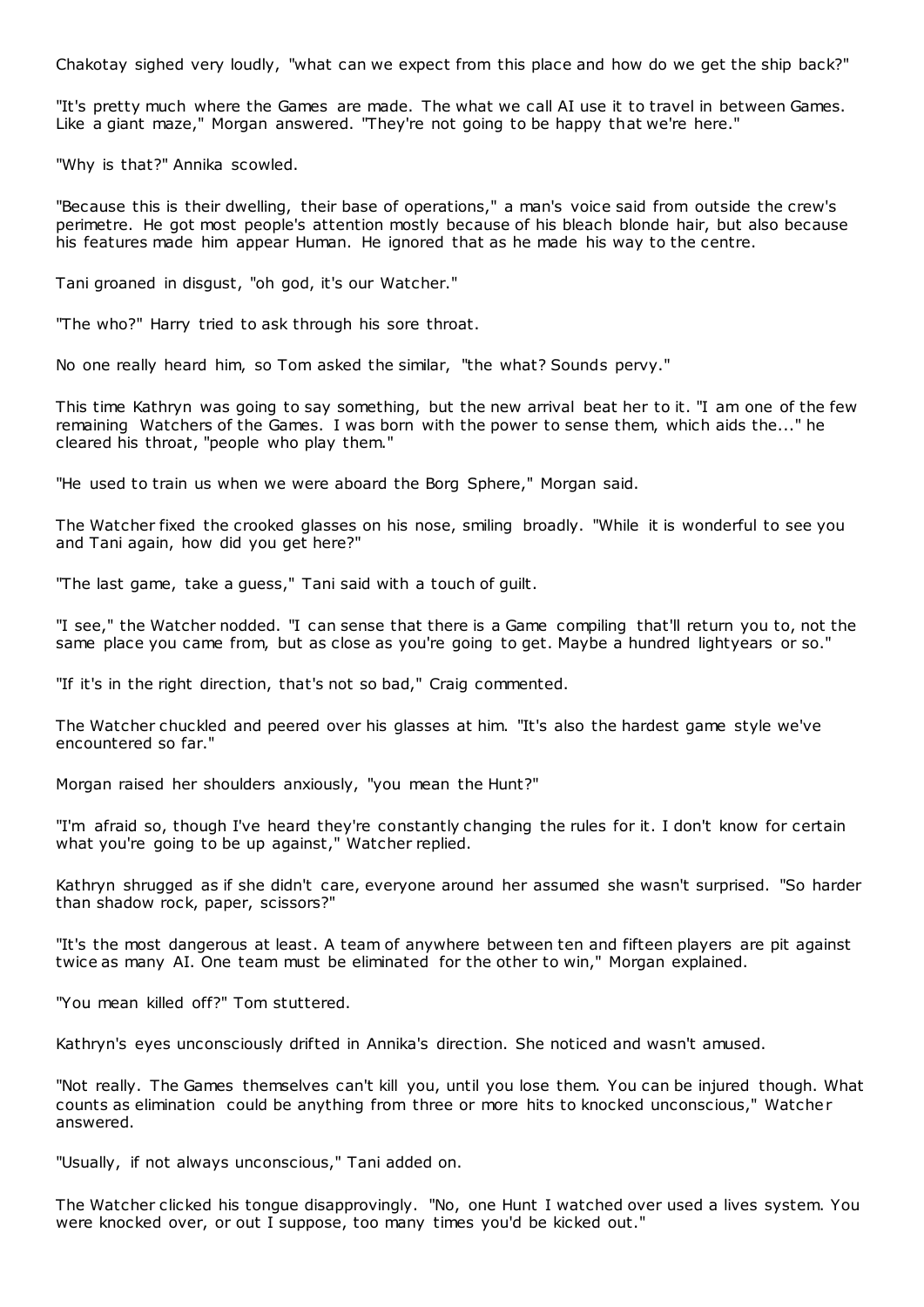Chakotay sighed very loudly, "what can we expect from this place and how do we get the ship back?"

"It's pretty much where the Games are made. The what we call AI use it to travel in between Games. Like a giant maze," Morgan answered. "They're not going to be happy that we're here."

"Why is that?" Annika scowled.

"Because this is their dwelling, their base of operations," a man's voice said from outside the crew's perimetre. He got most people's attention mostly because of his bleach blonde hair, but also because his features made him appear Human. He ignored that as he made his way to the centre.

Tani groaned in disgust, "oh god, it's our Watcher."

"The who?" Harry tried to ask through his sore throat.

No one really heard him, so Tom asked the similar, "the what? Sounds pervy."

This time Kathryn was going to say something, but the new arrival beat her to it. "I am one of the few remaining Watchers of the Games. I was born with the power to sense them, which aids the..." he cleared his throat, "people who play them."

"He used to train us when we were aboard the Borg Sphere," Morgan said.

The Watcher fixed the crooked glasses on his nose, smiling broadly. "While it is wonderful to see you and Tani again, how did you get here?"

"The last game, take a guess," Tani said with a touch of guilt.

"I see," the Watcher nodded. "I can sense that there is a Game compiling that'll return you to, not the same place you came from, but as close as you're going to get. Maybe a hundred lightyears or so."

"If it's in the right direction, that's not so bad," Craig commented.

The Watcher chuckled and peered over his glasses at him. "It's also the hardest game style we've encountered so far."

Morgan raised her shoulders anxiously, "you mean the Hunt?"

"I'm afraid so, though I've heard they're constantly changing the rules for it. I don't know for certain what you're going to be up against," Watcher replied.

Kathryn shrugged as if she didn't care, everyone around her assumed she wasn't surprised. "So harder than shadow rock, paper, scissors?"

"It's the most dangerous at least. A team of anywhere between ten and fifteen players are pit against twice as many AI. One team must be eliminated for the other to win," Morgan explained.

"You mean killed off?" Tom stuttered.

Kathryn's eyes unconsciously drifted in Annika's direction. She noticed and wasn't amused.

"Not really. The Games themselves can't kill you, until you lose them. You can be injured though. What counts as elimination could be anything from three or more hits to knocked unconscious," Watcher answered.

"Usually, if not always unconscious," Tani added on.

The Watcher clicked his tongue disapprovingly. "No, one Hunt I watched over used a lives system. You were knocked over, or out I suppose, too many times you'd be kicked out."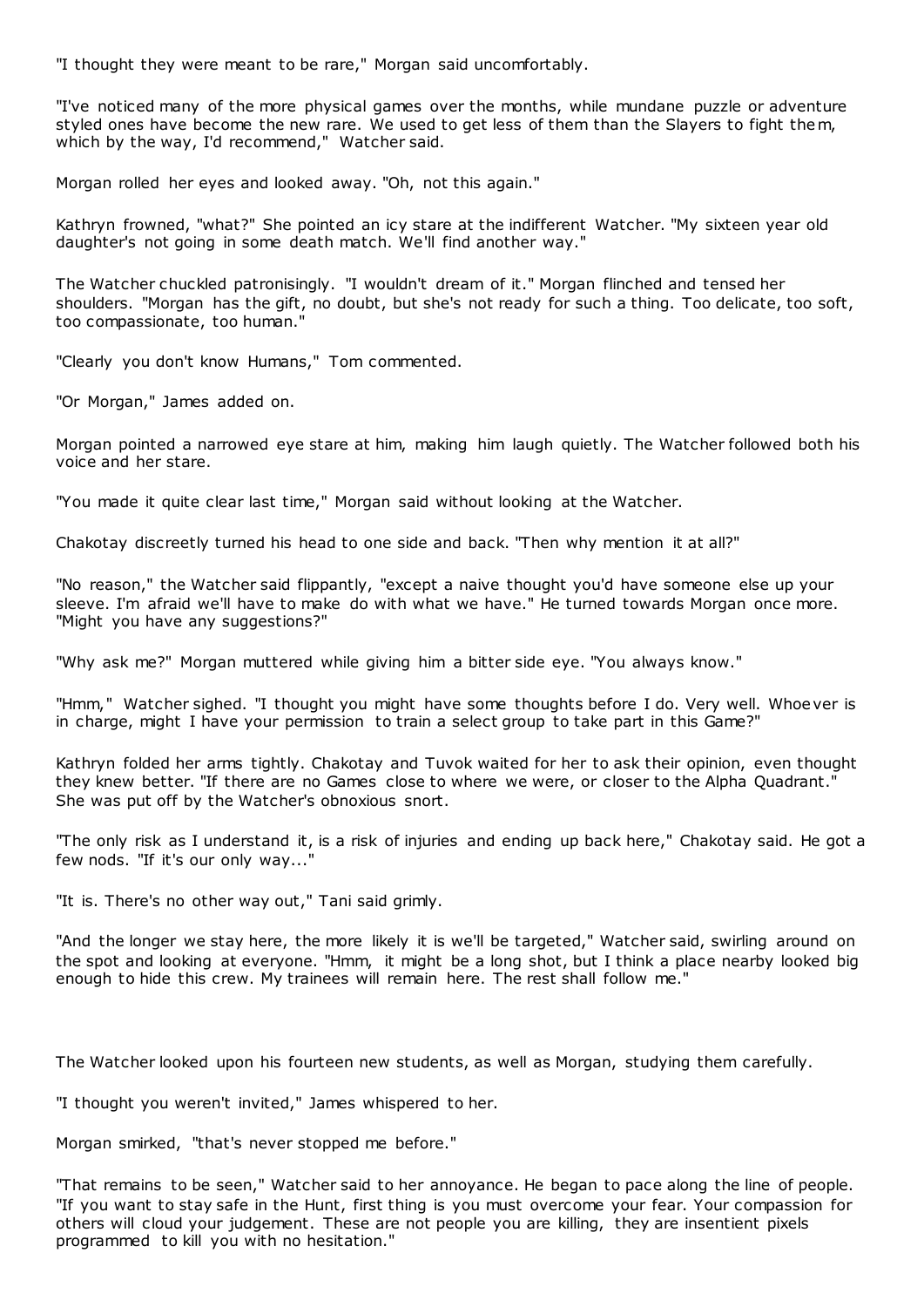"I thought they were meant to be rare," Morgan said uncomfortably.

"I've noticed many of the more physical games over the months, while mundane puzzle or adventure styled ones have become the new rare. We used to get less of them than the Slayers to fight them, which by the way, I'd recommend," Watcher said.

Morgan rolled her eyes and looked away. "Oh, not this again."

Kathryn frowned, "what?" She pointed an icy stare at the indifferent Watcher. "My sixteen year old daughter's not going in some death match. We'll find another way."

The Watcher chuckled patronisingly. "I wouldn't dream of it." Morgan flinched and tensed her shoulders. "Morgan has the gift, no doubt, but she's not ready for such a thing. Too delicate, too soft, too compassionate, too human."

"Clearly you don't know Humans," Tom commented.

"Or Morgan," James added on.

Morgan pointed a narrowed eye stare at him, making him laugh quietly. The Watcher followed both his voice and her stare.

"You made it quite clear last time," Morgan said without looking at the Watcher.

Chakotay discreetly turned his head to one side and back. "Then why mention it at all?"

"No reason," the Watcher said flippantly, "except a naive thought you'd have someone else up your sleeve. I'm afraid we'll have to make do with what we have." He turned towards Morgan once more. "Might you have any suggestions?"

"Why ask me?" Morgan muttered while giving him a bitter side eye. "You always know."

"Hmm," Watcher sighed. "I thought you might have some thoughts before I do. Very well. Whoever is in charge, might I have your permission to train a select group to take part in this Game?"

Kathryn folded her arms tightly. Chakotay and Tuvok waited for her to ask their opinion, even thought they knew better. "If there are no Games close to where we were, or closer to the Alpha Quadrant." She was put off by the Watcher's obnoxious snort.

"The only risk as I understand it, is a risk of injuries and ending up back here," Chakotay said. He got a few nods. "If it's our only way..."

"It is. There's no other way out," Tani said grimly.

"And the longer we stay here, the more likely it is we'll be targeted," Watcher said, swirling around on the spot and looking at everyone. "Hmm, it might be a long shot, but I think a place nearby looked big enough to hide this crew. My trainees will remain here. The rest shall follow me."

The Watcher looked upon his fourteen new students, as well as Morgan, studying them carefully.

"I thought you weren't invited," James whispered to her.

Morgan smirked, "that's never stopped me before."

"That remains to be seen," Watcher said to her annoyance. He began to pace along the line of people. "If you want to stay safe in the Hunt, first thing is you must overcome your fear. Your compassion for others will cloud your judgement. These are not people you are killing, they are insentient pixels programmed to kill you with no hesitation."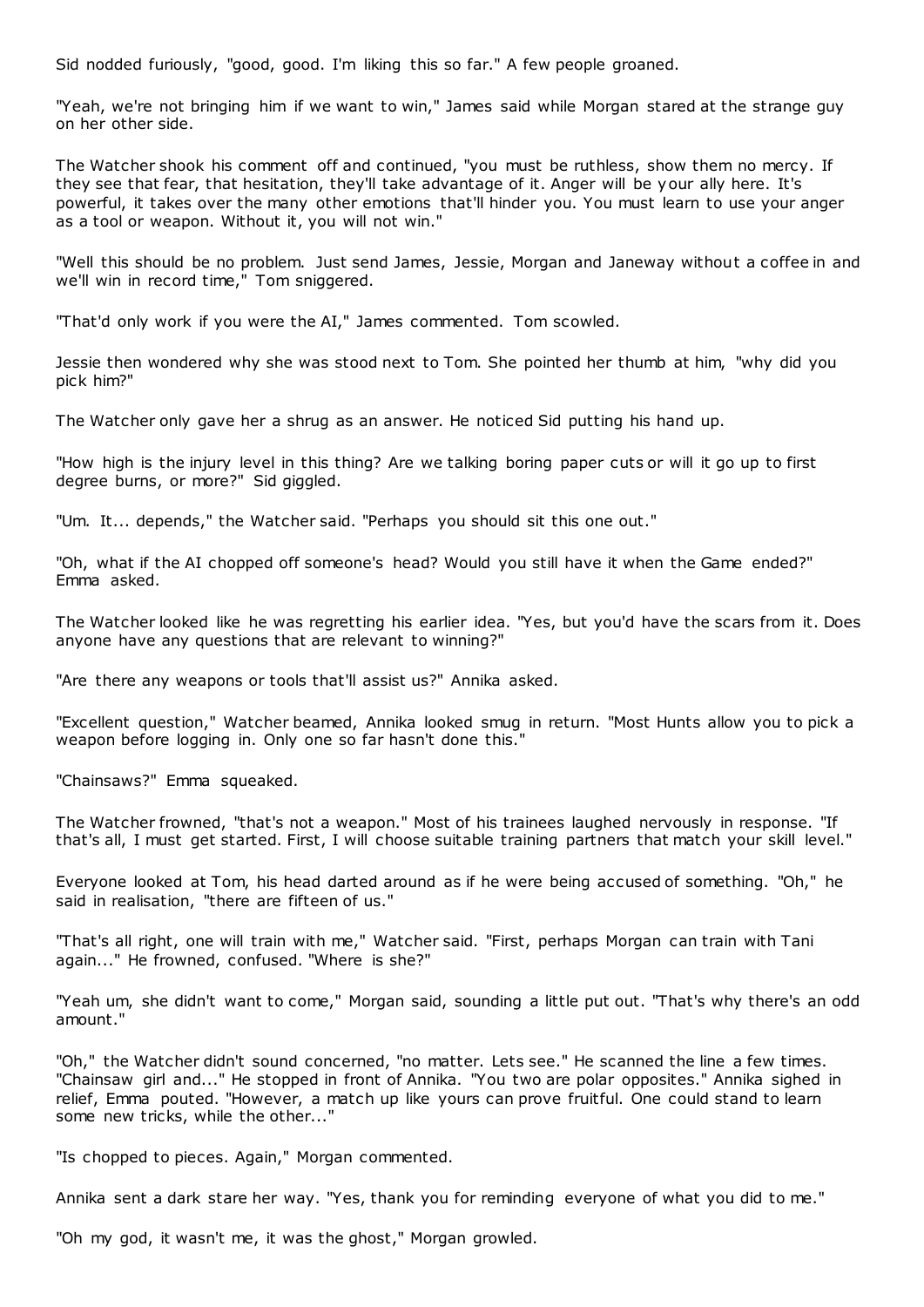Sid nodded furiously, "good, good. I'm liking this so far." A few people groaned.

"Yeah, we're not bringing him if we want to win," James said while Morgan stared at the strange guy on her other side.

The Watcher shook his comment off and continued, "you must be ruthless, show them no mercy. If they see that fear, that hesitation, they'll take advantage of it. Anger will be your ally here. It's powerful, it takes over the many other emotions that'll hinder you. You must learn to use your anger as a tool or weapon. Without it, you will not win."

"Well this should be no problem. Just send James, Jessie, Morgan and Janeway without a coffee in and we'll win in record time," Tom sniggered.

"That'd only work if you were the AI," James commented. Tom scowled.

Jessie then wondered why she was stood next to Tom. She pointed her thumb at him, "why did you pick him?"

The Watcher only gave her a shrug as an answer. He noticed Sid putting his hand up.

"How high is the injury level in this thing? Are we talking boring paper cuts or will it go up to first degree burns, or more?" Sid giggled.

"Um. It... depends," the Watcher said. "Perhaps you should sit this one out."

"Oh, what if the AI chopped off someone's head? Would you still have it when the Game ended?" Emma asked.

The Watcher looked like he was regretting his earlier idea. "Yes, but you'd have the scars from it. Does anyone have any questions that are relevant to winning?"

"Are there any weapons or tools that'll assist us?" Annika asked.

"Excellent question," Watcher beamed, Annika looked smug in return. "Most Hunts allow you to pick a weapon before logging in. Only one so far hasn't done this."

"Chainsaws?" Emma squeaked.

The Watcher frowned, "that's not a weapon." Most of his trainees laughed nervously in response. "If that's all, I must get started. First, I will choose suitable training partners that match your skill level."

Everyone looked at Tom, his head darted around as if he were being accused of something. "Oh," he said in realisation, "there are fifteen of us."

"That's all right, one will train with me," Watcher said. "First, perhaps Morgan can train with Tani again..." He frowned, confused. "Where is she?"

"Yeah um, she didn't want to come," Morgan said, sounding a little put out. "That's why there's an odd amount."

"Oh," the Watcher didn't sound concerned, "no matter. Lets see." He scanned the line a few times. "Chainsaw girl and..." He stopped in front of Annika. "You two are polar opposites." Annika sighed in relief, Emma pouted. "However, a match up like yours can prove fruitful. One could stand to learn some new tricks, while the other..."

"Is chopped to pieces. Again," Morgan commented.

Annika sent a dark stare her way. "Yes, thank you for reminding everyone of what you did to me."

"Oh my god, it wasn't me, it was the ghost," Morgan growled.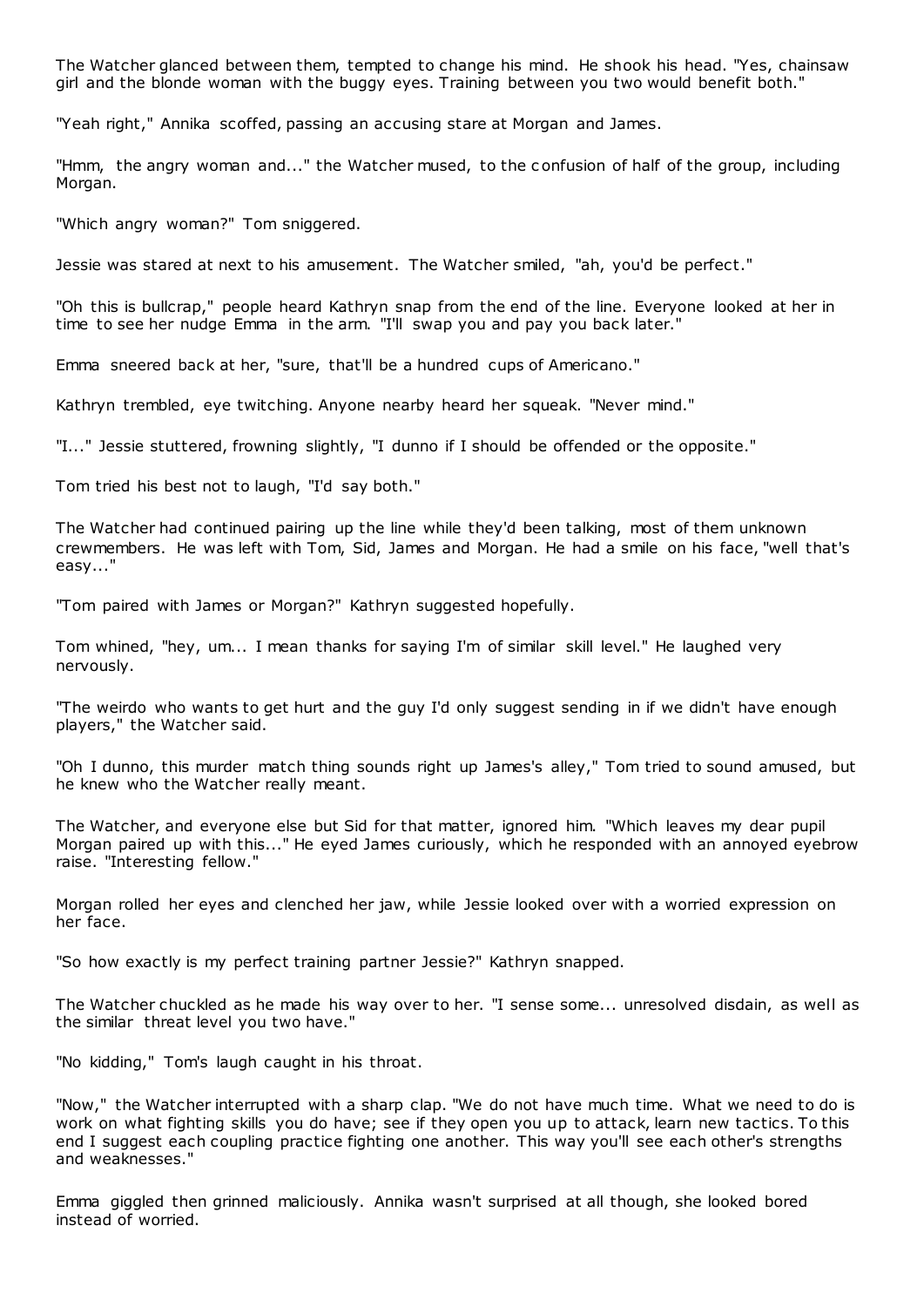The Watcher glanced between them, tempted to change his mind. He shook his head. "Yes, chainsaw girl and the blonde woman with the buggy eyes. Training between you two would benefit both."

"Yeah right," Annika scoffed, passing an accusing stare at Morgan and James.

"Hmm, the angry woman and..." the Watcher mused, to the c onfusion of half of the group, including Morgan.

"Which angry woman?" Tom sniggered.

Jessie was stared at next to his amusement. The Watcher smiled, "ah, you'd be perfect."

"Oh this is bullcrap," people heard Kathryn snap from the end of the line. Everyone looked at her in time to see her nudge Emma in the arm. "I'll swap you and pay you back later."

Emma sneered back at her, "sure, that'll be a hundred cups of Americano."

Kathryn trembled, eye twitching. Anyone nearby heard her squeak. "Never mind."

"I..." Jessie stuttered, frowning slightly, "I dunno if I should be offended or the opposite."

Tom tried his best not to laugh, "I'd say both."

The Watcher had continued pairing up the line while they'd been talking, most of them unknown crewmembers. He was left with Tom, Sid, James and Morgan. He had a smile on his face, "well that's easy..."

"Tom paired with James or Morgan?" Kathryn suggested hopefully.

Tom whined, "hey, um... I mean thanks for saying I'm of similar skill level." He laughed very nervously.

"The weirdo who wants to get hurt and the guy I'd only suggest sending in if we didn't have enough players," the Watcher said.

"Oh I dunno, this murder match thing sounds right up James's alley," Tom tried to sound amused, but he knew who the Watcher really meant.

The Watcher, and everyone else but Sid for that matter, ignored him. "Which leaves my dear pupil Morgan paired up with this..." He eyed James curiously, which he responded with an annoyed eyebrow raise. "Interesting fellow."

Morgan rolled her eyes and clenched her jaw, while Jessie looked over with a worried expression on her face.

"So how exactly is my perfect training partner Jessie?" Kathryn snapped.

The Watcher chuckled as he made his way over to her. "I sense some... unresolved disdain, as well as the similar threat level you two have."

"No kidding," Tom's laugh caught in his throat.

"Now," the Watcher interrupted with a sharp clap. "We do not have much time. What we need to do is work on what fighting skills you do have; see if they open you up to attack, learn new tactics. To this end I suggest each coupling practice fighting one another. This way you'll see each other's strengths and weaknesses."

Emma giggled then grinned maliciously. Annika wasn't surprised at all though, she looked bored instead of worried.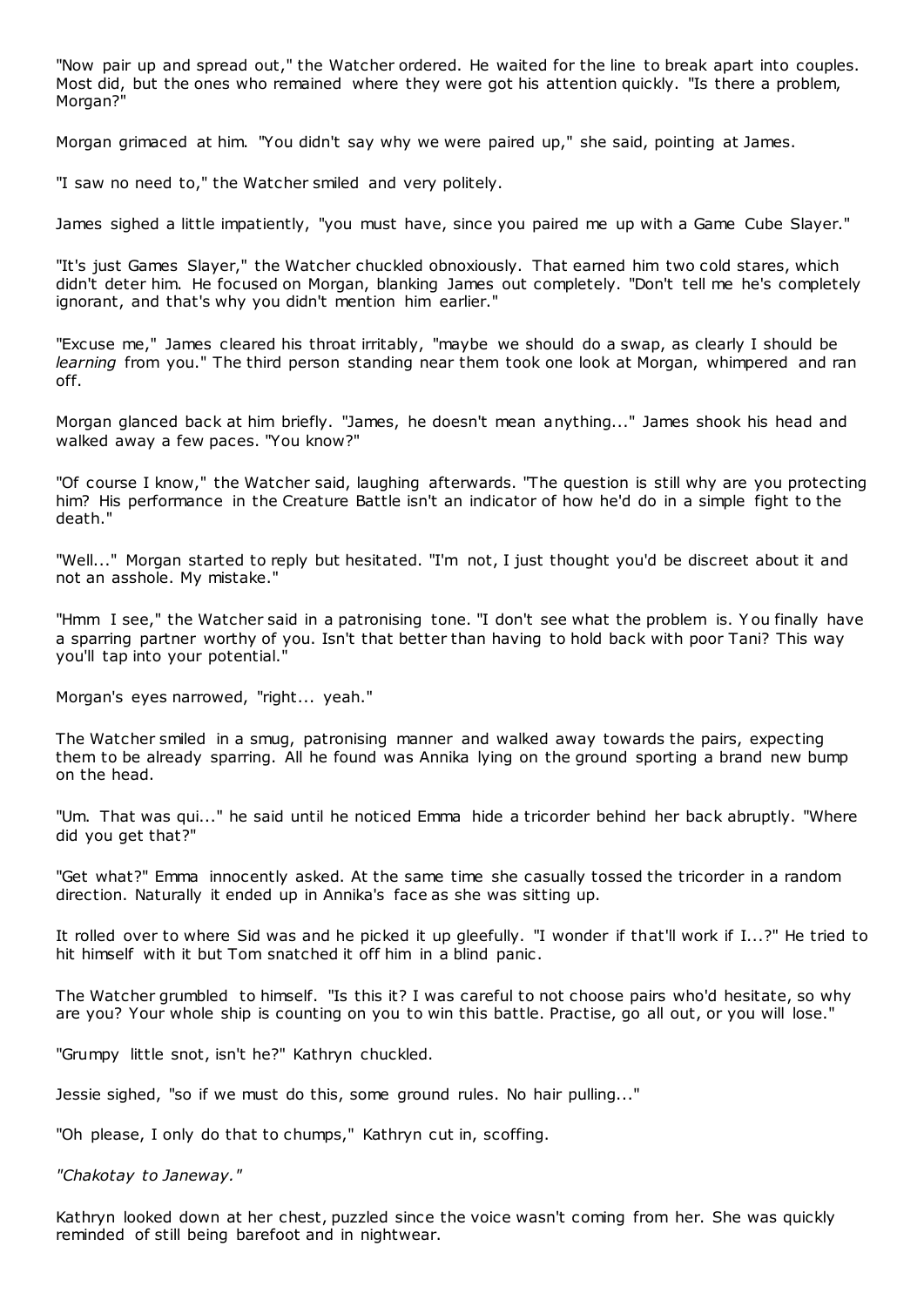"Now pair up and spread out," the Watcher ordered. He waited for the line to break apart into couples. Most did, but the ones who remained where they were got his attention quickly. "Is there a problem, Morgan?"

Morgan grimaced at him. "You didn't say why we were paired up," she said, pointing at James.

"I saw no need to," the Watcher smiled and very politely.

James sighed a little impatiently, "you must have, since you paired me up with a Game Cube Slayer."

"It's just Games Slayer," the Watcher chuckled obnoxiously. That earned him two cold stares, which didn't deter him. He focused on Morgan, blanking James out completely. "Don't tell me he's completely ignorant, and that's why you didn't mention him earlier."

"Excuse me," James cleared his throat irritably, "maybe we should do a swap, as clearly I should be *learning* from you." The third person standing near them took one look at Morgan, whimpered and ran off.

Morgan glanced back at him briefly. "James, he doesn't mean anything..." James shook his head and walked away a few paces. "You know?"

"Of course I know," the Watcher said, laughing afterwards. "The question is still why are you protecting him? His performance in the Creature Battle isn't an indicator of how he'd do in a simple fight to the death."

"Well..." Morgan started to reply but hesitated. "I'm not, I just thought you'd be discreet about it and not an asshole. My mistake."

"Hmm I see," the Watcher said in a patronising tone. "I don't see what the problem is. Y ou finally have a sparring partner worthy of you. Isn't that better than having to hold back with poor Tani? This way you'll tap into your potential."

Morgan's eyes narrowed, "right... yeah."

The Watcher smiled in a smug, patronising manner and walked away towards the pairs, expecting them to be already sparring. All he found was Annika lying on the ground sporting a brand new bump on the head.

"Um. That was qui..." he said until he noticed Emma hide a tricorder behind her back abruptly. "Where did you get that?"

"Get what?" Emma innocently asked. At the same time she casually tossed the tricorder in a random direction. Naturally it ended up in Annika's face as she was sitting up.

It rolled over to where Sid was and he picked it up gleefully. "I wonder if that'll work if I...?" He tried to hit himself with it but Tom snatched it off him in a blind panic.

The Watcher grumbled to himself. "Is this it? I was careful to not choose pairs who'd hesitate, so why are you? Your whole ship is counting on you to win this battle. Practise, go all out, or you will lose."

"Grumpy little snot, isn't he?" Kathryn chuckled.

Jessie sighed, "so if we must do this, some ground rules. No hair pulling..."

"Oh please, I only do that to chumps," Kathryn cut in, scoffing.

*"Chakotay to Janeway."*

Kathryn looked down at her chest, puzzled since the voice wasn't coming from her. She was quickly reminded of still being barefoot and in nightwear.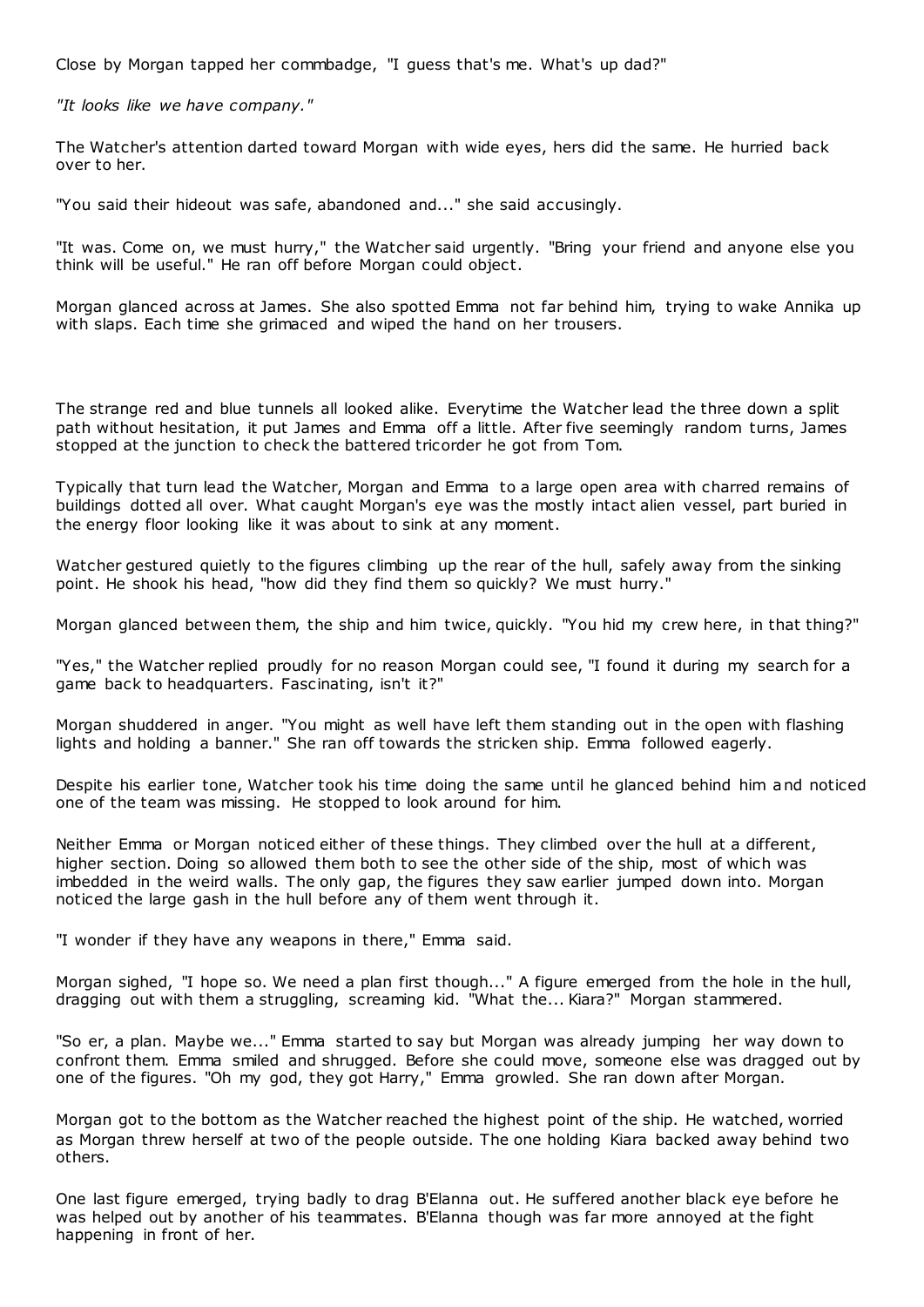Close by Morgan tapped her commbadge, "I guess that's me. What's up dad?"

*"It looks like we have company."*

The Watcher's attention darted toward Morgan with wide eyes, hers did the same. He hurried back over to her.

"You said their hideout was safe, abandoned and..." she said accusingly.

"It was. Come on, we must hurry," the Watcher said urgently. "Bring your friend and anyone else you think will be useful." He ran off before Morgan could object.

Morgan glanced across at James. She also spotted Emma not far behind him, trying to wake Annika up with slaps. Each time she grimaced and wiped the hand on her trousers.

The strange red and blue tunnels all looked alike. Everytime the Watcher lead the three down a split path without hesitation, it put James and Emma off a little. After five seemingly random turns, James stopped at the junction to check the battered tricorder he got from Tom.

Typically that turn lead the Watcher, Morgan and Emma to a large open area with charred remains of buildings dotted all over. What caught Morgan's eye was the mostly intact alien vessel, part buried in the energy floor looking like it was about to sink at any moment.

Watcher gestured quietly to the figures climbing up the rear of the hull, safely away from the sinking point. He shook his head, "how did they find them so quickly? We must hurry."

Morgan glanced between them, the ship and him twice, quickly. "You hid my crew here, in that thing?"

"Yes," the Watcher replied proudly for no reason Morgan could see, "I found it during my search for a game back to headquarters. Fascinating, isn't it?"

Morgan shuddered in anger. "You might as well have left them standing out in the open with flashing lights and holding a banner." She ran off towards the stricken ship. Emma followed eagerly.

Despite his earlier tone, Watcher took his time doing the same until he glanced behind him and noticed one of the team was missing. He stopped to look around for him.

Neither Emma or Morgan noticed either of these things. They climbed over the hull at a different, higher section. Doing so allowed them both to see the other side of the ship, most of which was imbedded in the weird walls. The only gap, the figures they saw earlier jumped down into. Morgan noticed the large gash in the hull before any of them went through it.

"I wonder if they have any weapons in there," Emma said.

Morgan sighed, "I hope so. We need a plan first though..." A figure emerged from the hole in the hull, dragging out with them a struggling, screaming kid. "What the... Kiara?" Morgan stammered.

"So er, a plan. Maybe we..." Emma started to say but Morgan was already jumping her way down to confront them. Emma smiled and shrugged. Before she could move, someone else was dragged out by one of the figures. "Oh my god, they got Harry," Emma growled. She ran down after Morgan.

Morgan got to the bottom as the Watcher reached the highest point of the ship. He watched, worried as Morgan threw herself at two of the people outside. The one holding Kiara backed away behind two others.

One last figure emerged, trying badly to drag B'Elanna out. He suffered another black eye before he was helped out by another of his teammates. B'Elanna though was far more annoyed at the fight happening in front of her.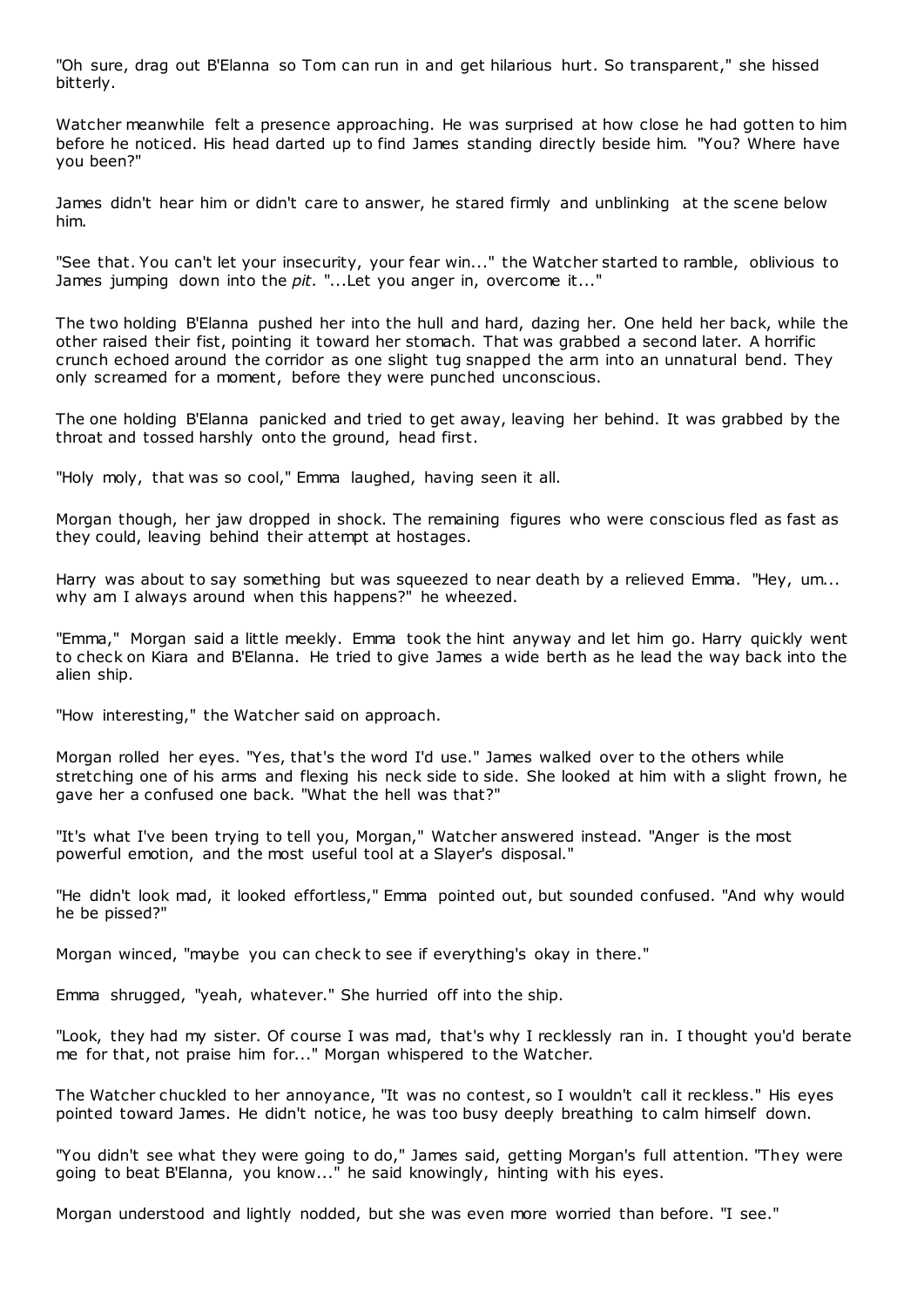"Oh sure, drag out B'Elanna so Tom can run in and get hilarious hurt. So transparent," she hissed bitterly.

Watcher meanwhile felt a presence approaching. He was surprised at how close he had gotten to him before he noticed. His head darted up to find James standing directly beside him. "You? Where have you been?"

James didn't hear him or didn't care to answer, he stared firmly and unblinking at the scene below him.

"See that. You can't let your insecurity, your fear win..." the Watcher started to ramble, oblivious to James jumping down into the *pit.* "...Let you anger in, overcome it..."

The two holding B'Elanna pushed her into the hull and hard, dazing her. One held her back, while the other raised their fist, pointing it toward her stomach. That was grabbed a second later. A horrific crunch echoed around the corridor as one slight tug snapped the arm into an unnatural bend. They only screamed for a moment, before they were punched unconscious.

The one holding B'Elanna panicked and tried to get away, leaving her behind. It was grabbed by the throat and tossed harshly onto the ground, head first.

"Holy moly, that was so cool," Emma laughed, having seen it all.

Morgan though, her jaw dropped in shock. The remaining figures who were conscious fled as fast as they could, leaving behind their attempt at hostages.

Harry was about to say something but was squeezed to near death by a relieved Emma. "Hey, um... why am I always around when this happens?" he wheezed.

"Emma," Morgan said a little meekly. Emma took the hint anyway and let him go. Harry quickly went to check on Kiara and B'Elanna. He tried to give James a wide berth as he lead the way back into the alien ship.

"How interesting," the Watcher said on approach.

Morgan rolled her eyes. "Yes, that's the word I'd use." James walked over to the others while stretching one of his arms and flexing his neck side to side. She looked at him with a slight frown, he gave her a confused one back. "What the hell was that?"

"It's what I've been trying to tell you, Morgan," Watcher answered instead. "Anger is the most powerful emotion, and the most useful tool at a Slayer's disposal."

"He didn't look mad, it looked effortless," Emma pointed out, but sounded confused. "And why would he be pissed?"

Morgan winced, "maybe you can check to see if everything's okay in there."

Emma shrugged, "yeah, whatever." She hurried off into the ship.

"Look, they had my sister. Of course I was mad, that's why I recklessly ran in. I thought you'd berate me for that, not praise him for..." Morgan whispered to the Watcher.

The Watcher chuckled to her annoyance, "It was no contest, so I wouldn't call it reckless." His eyes pointed toward James. He didn't notice, he was too busy deeply breathing to calm himself down.

"You didn't see what they were going to do," James said, getting Morgan's full attention. "They were going to beat B'Elanna, you know..." he said knowingly, hinting with his eyes.

Morgan understood and lightly nodded, but she was even more worried than before. "I see."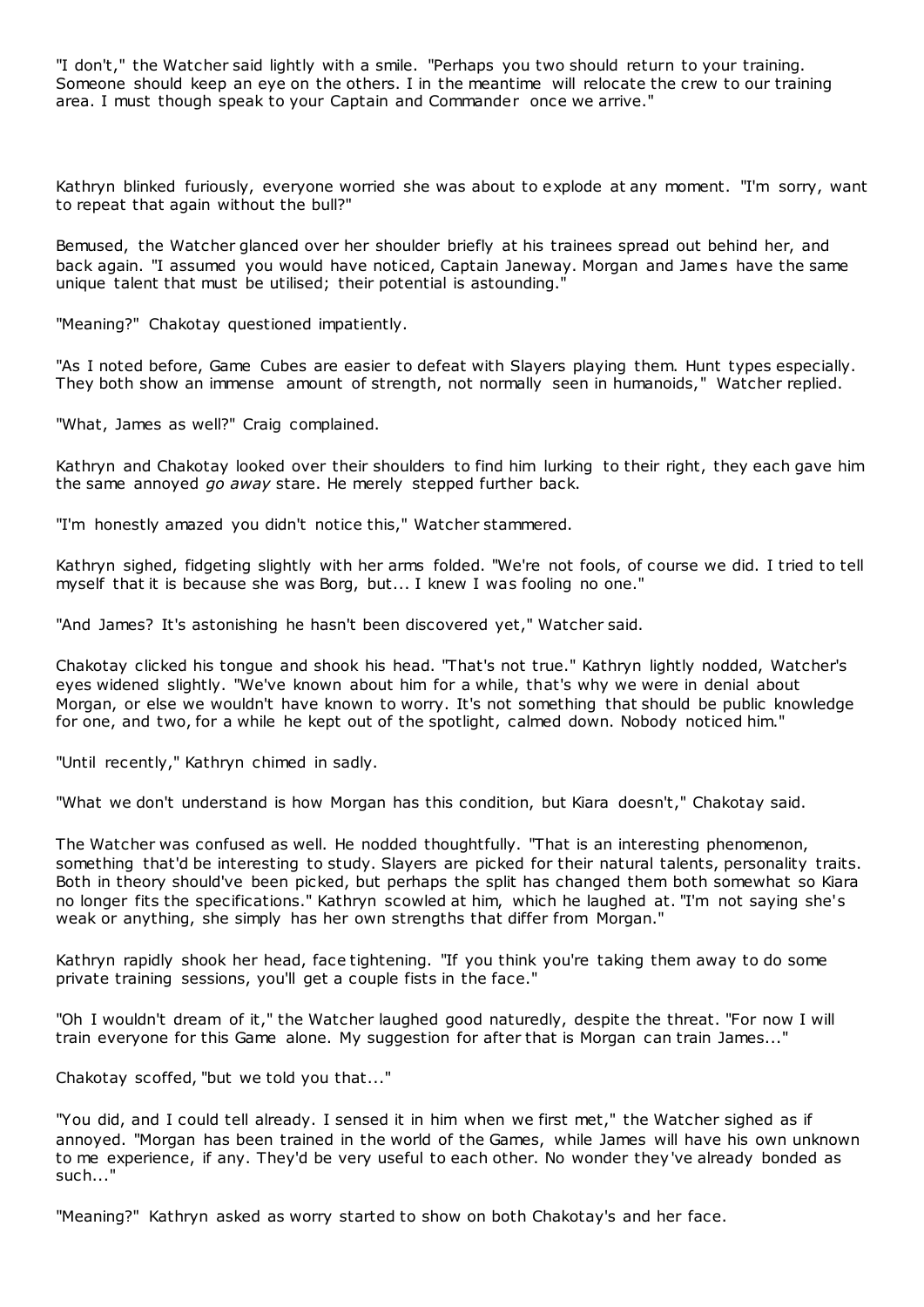"I don't," the Watcher said lightly with a smile. "Perhaps you two should return to your training. Someone should keep an eye on the others. I in the meantime will relocate the crew to our training area. I must though speak to your Captain and Commander once we arrive."

Kathryn blinked furiously, everyone worried she was about to explode at any moment. "I'm sorry, want to repeat that again without the bull?"

Bemused, the Watcher glanced over her shoulder briefly at his trainees spread out behind her, and back again. "I assumed you would have noticed, Captain Janeway. Morgan and James have the same unique talent that must be utilised; their potential is astounding."

"Meaning?" Chakotay questioned impatiently.

"As I noted before, Game Cubes are easier to defeat with Slayers playing them. Hunt types especially. They both show an immense amount of strength, not normally seen in humanoids," Watcher replied.

"What, James as well?" Craig complained.

Kathryn and Chakotay looked over their shoulders to find him lurking to their right, they each gave him the same annoyed *go away* stare. He merely stepped further back.

"I'm honestly amazed you didn't notice this," Watcher stammered.

Kathryn sighed, fidgeting slightly with her arms folded. "We're not fools, of course we did. I tried to tell myself that it is because she was Borg, but... I knew I was fooling no one."

"And James? It's astonishing he hasn't been discovered yet," Watcher said.

Chakotay clicked his tongue and shook his head. "That's not true." Kathryn lightly nodded, Watcher's eyes widened slightly. "We've known about him for a while, that's why we were in denial about Morgan, or else we wouldn't have known to worry. It's not something that should be public knowledge for one, and two, for a while he kept out of the spotlight, calmed down. Nobody noticed him."

"Until recently," Kathryn chimed in sadly.

"What we don't understand is how Morgan has this condition, but Kiara doesn't," Chakotay said.

The Watcher was confused as well. He nodded thoughtfully. "That is an interesting phenomenon, something that'd be interesting to study. Slayers are picked for their natural talents, personality traits. Both in theory should've been picked, but perhaps the split has changed them both somewhat so Kiara no longer fits the specifications." Kathryn scowled at him, which he laughed at. "I'm not saying she's weak or anything, she simply has her own strengths that differ from Morgan."

Kathryn rapidly shook her head, face tightening. "If you think you're taking them away to do some private training sessions, you'll get a couple fists in the face."

"Oh I wouldn't dream of it," the Watcher laughed good naturedly, despite the threat. "For now I will train everyone for this Game alone. My suggestion for after that is Morgan can train James..."

Chakotay scoffed, "but we told you that..."

"You did, and I could tell already. I sensed it in him when we first met," the Watcher sighed as if annoyed. "Morgan has been trained in the world of the Games, while James will have his own unknown to me experience, if any. They'd be very useful to each other. No wonder they've already bonded as such...'

"Meaning?" Kathryn asked as worry started to show on both Chakotay's and her face.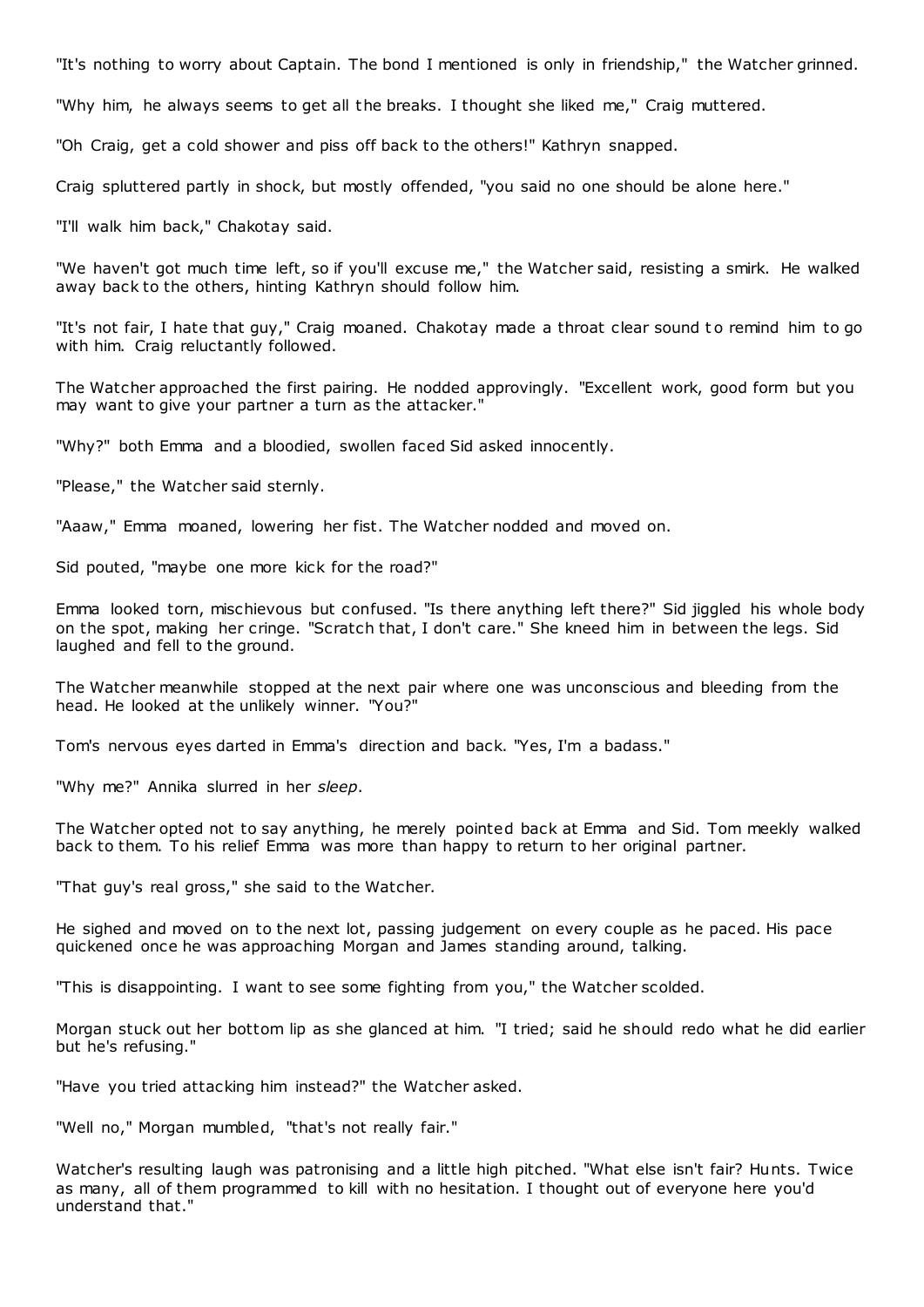"It's nothing to worry about Captain. The bond I mentioned is only in friendship," the Watcher grinned.

"Why him, he always seems to get all the breaks. I thought she liked me," Craig muttered.

"Oh Craig, get a cold shower and piss off back to the others!" Kathryn snapped.

Craig spluttered partly in shock, but mostly offended, "you said no one should be alone here."

"I'll walk him back," Chakotay said.

"We haven't got much time left, so if you'll excuse me," the Watcher said, resisting a smirk. He walked away back to the others, hinting Kathryn should follow him.

"It's not fair, I hate that guy," Craig moaned. Chakotay made a throat clear sound to remind him to go with him. Craig reluctantly followed.

The Watcher approached the first pairing. He nodded approvingly. "Excellent work, good form but you may want to give your partner a turn as the attacker."

"Why?" both Emma and a bloodied, swollen faced Sid asked innocently.

"Please," the Watcher said sternly.

"Aaaw," Emma moaned, lowering her fist. The Watcher nodded and moved on.

Sid pouted, "maybe one more kick for the road?"

Emma looked torn, mischievous but confused. "Is there anything left there?" Sid jiggled his whole body on the spot, making her cringe. "Scratch that, I don't care." She kneed him in between the legs. Sid laughed and fell to the ground.

The Watcher meanwhile stopped at the next pair where one was unconscious and bleeding from the head. He looked at the unlikely winner. "You?"

Tom's nervous eyes darted in Emma's direction and back. "Yes, I'm a badass."

"Why me?" Annika slurred in her *sleep*.

The Watcher opted not to say anything, he merely pointed back at Emma and Sid. Tom meekly walked back to them. To his relief Emma was more than happy to return to her original partner.

"That guy's real gross," she said to the Watcher.

He sighed and moved on to the next lot, passing judgement on every couple as he paced. His pace quickened once he was approaching Morgan and James standing around, talking.

"This is disappointing. I want to see some fighting from you," the Watcher scolded.

Morgan stuck out her bottom lip as she glanced at him. "I tried; said he should redo what he did earlier but he's refusing."

"Have you tried attacking him instead?" the Watcher asked.

"Well no," Morgan mumbled, "that's not really fair."

Watcher's resulting laugh was patronising and a little high pitched. "What else isn't fair? Hunts. Twice as many, all of them programmed to kill with no hesitation. I thought out of everyone here you'd understand that."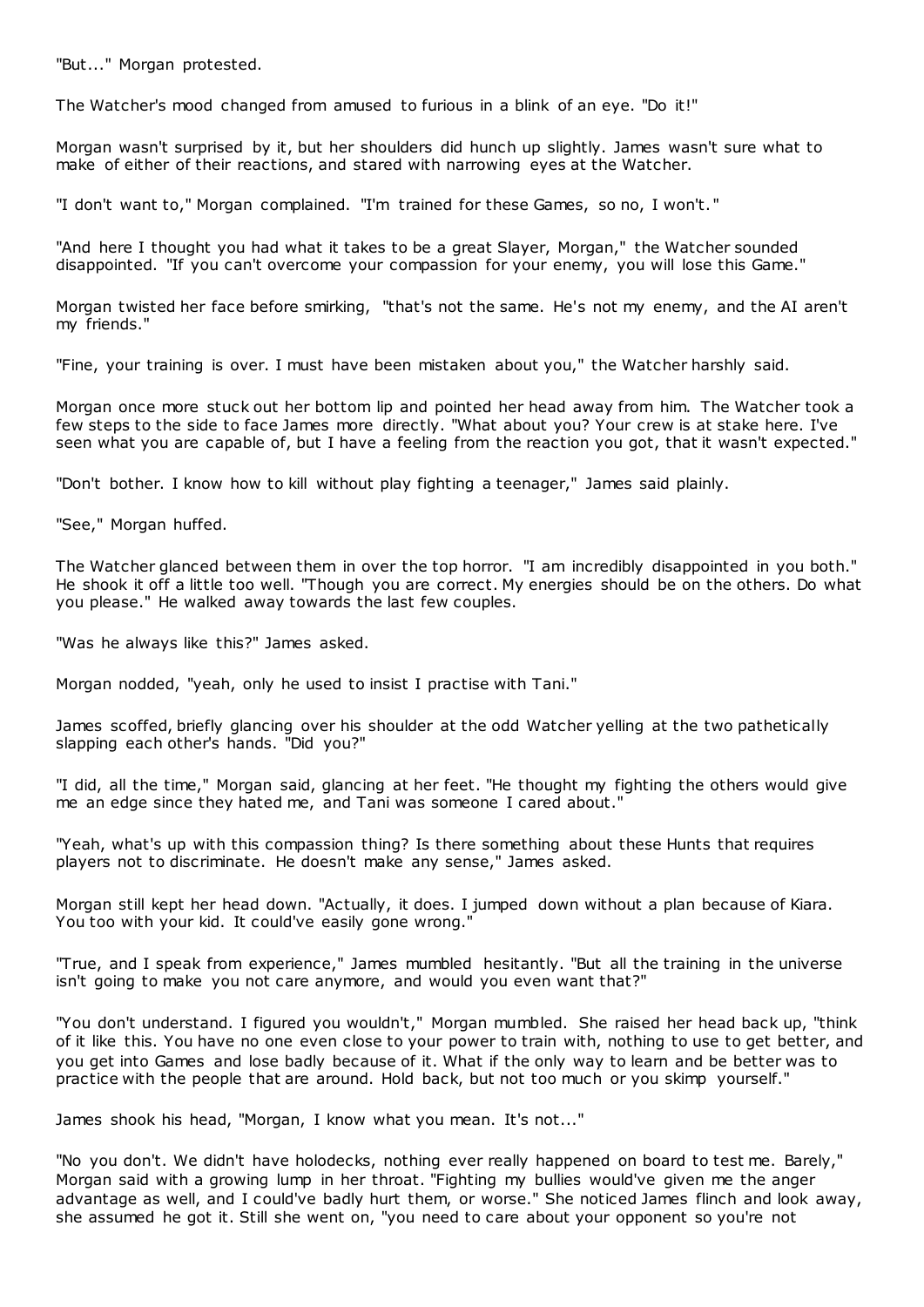"But..." Morgan protested.

The Watcher's mood changed from amused to furious in a blink of an eye. "Do it!"

Morgan wasn't surprised by it, but her shoulders did hunch up slightly. James wasn't sure what to make of either of their reactions, and stared with narrowing eyes at the Watcher.

"I don't want to," Morgan complained. "I'm trained for these Games, so no, I won't. "

"And here I thought you had what it takes to be a great Slayer, Morgan," the Watcher sounded disappointed. "If you can't overcome your compassion for your enemy, you will lose this Game."

Morgan twisted her face before smirking, "that's not the same. He's not my enemy, and the AI aren't my friends."

"Fine, your training is over. I must have been mistaken about you," the Watcher harshly said.

Morgan once more stuck out her bottom lip and pointed her head away from him. The Watcher took a few steps to the side to face James more directly. "What about you? Your crew is at stake here. I've seen what you are capable of, but I have a feeling from the reaction you got, that it wasn't expected."

"Don't bother. I know how to kill without play fighting a teenager," James said plainly.

"See," Morgan huffed.

The Watcher glanced between them in over the top horror. "I am incredibly disappointed in you both." He shook it off a little too well. "Though you are correct. My energies should be on the others. Do what you please." He walked away towards the last few couples.

"Was he always like this?" James asked.

Morgan nodded, "yeah, only he used to insist I practise with Tani."

James scoffed, briefly glancing over his shoulder at the odd Watcher yelling at the two pathetically slapping each other's hands. "Did you?"

"I did, all the time," Morgan said, glancing at her feet. "He thought my fighting the others would give me an edge since they hated me, and Tani was someone I cared about."

"Yeah, what's up with this compassion thing? Is there something about these Hunts that requires players not to discriminate. He doesn't make any sense," James asked.

Morgan still kept her head down. "Actually, it does. I jumped down without a plan because of Kiara. You too with your kid. It could've easily gone wrong."

"True, and I speak from experience," James mumbled hesitantly. "But all the training in the universe isn't going to make you not care anymore, and would you even want that?"

"You don't understand. I figured you wouldn't," Morgan mumbled. She raised her head back up, "think of it like this. You have no one even close to your power to train with, nothing to use to get better, and you get into Games and lose badly because of it. What if the only way to learn and be better was to practice with the people that are around. Hold back, but not too much or you skimp yourself."

James shook his head, "Morgan, I know what you mean. It's not..."

"No you don't. We didn't have holodecks, nothing ever really happened on board to test me. Barely," Morgan said with a growing lump in her throat. "Fighting my bullies would've given me the anger advantage as well, and I could've badly hurt them, or worse." She noticed James flinch and look away, she assumed he got it. Still she went on, "you need to care about your opponent so you're not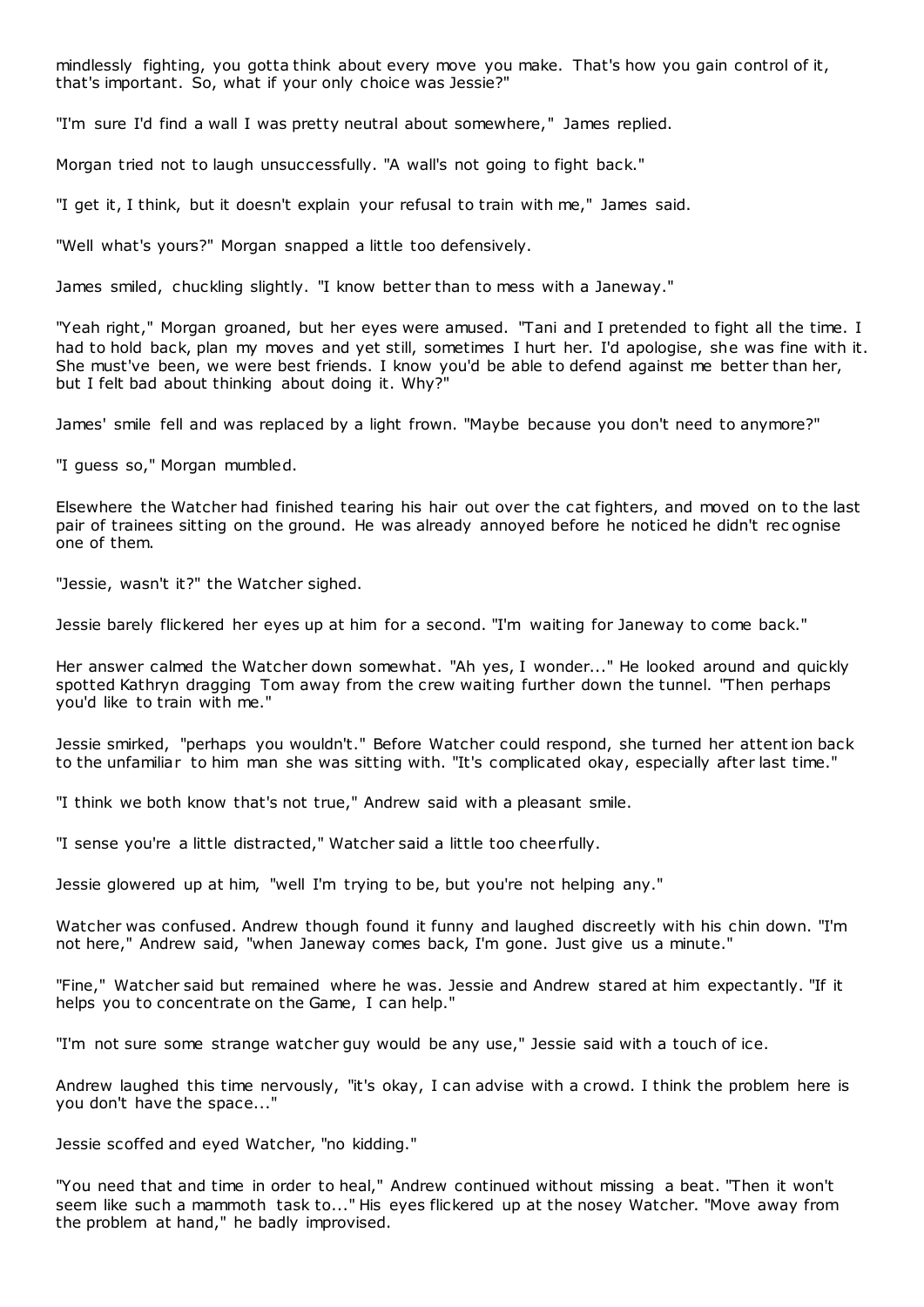mindlessly fighting, you gotta think about every move you make. That's how you gain control of it, that's important. So, what if your only choice was Jessie?"

"I'm sure I'd find a wall I was pretty neutral about somewhere," James replied.

Morgan tried not to laugh unsuccessfully. "A wall's not going to fight back."

"I get it, I think, but it doesn't explain your refusal to train with me," James said.

"Well what's yours?" Morgan snapped a little too defensively.

James smiled, chuckling slightly. "I know better than to mess with a Janeway."

"Yeah right," Morgan groaned, but her eyes were amused. "Tani and I pretended to fight all the time. I had to hold back, plan my moves and yet still, sometimes I hurt her. I'd apologise, she was fine with it. She must've been, we were best friends. I know you'd be able to defend against me better than her, but I felt bad about thinking about doing it. Why?"

James' smile fell and was replaced by a light frown. "Maybe because you don't need to anymore?"

"I guess so," Morgan mumbled.

Elsewhere the Watcher had finished tearing his hair out over the cat fighters, and moved on to the last pair of trainees sitting on the ground. He was already annoyed before he noticed he didn't rec ognise one of them.

"Jessie, wasn't it?" the Watcher sighed.

Jessie barely flickered her eyes up at him for a second. "I'm waiting for Janeway to come back."

Her answer calmed the Watcher down somewhat. "Ah yes, I wonder..." He looked around and quickly spotted Kathryn dragging Tom away from the crew waiting further down the tunnel. "Then perhaps you'd like to train with me."

Jessie smirked, "perhaps you wouldn't." Before Watcher could respond, she turned her attention back to the unfamiliar to him man she was sitting with. "It's complicated okay, especially after last time."

"I think we both know that's not true," Andrew said with a pleasant smile.

"I sense you're a little distracted," Watcher said a little too cheerfully.

Jessie glowered up at him, "well I'm trying to be, but you're not helping any."

Watcher was confused. Andrew though found it funny and laughed discreetly with his chin down. "I'm not here," Andrew said, "when Janeway comes back, I'm gone. Just give us a minute."

"Fine," Watcher said but remained where he was. Jessie and Andrew stared at him expectantly. "If it helps you to concentrate on the Game, I can help."

"I'm not sure some strange watcher guy would be any use," Jessie said with a touch of ice.

Andrew laughed this time nervously, "it's okay, I can advise with a crowd. I think the problem here is you don't have the space..."

Jessie scoffed and eyed Watcher, "no kidding."

"You need that and time in order to heal," Andrew continued without missing a beat. "Then it won't seem like such a mammoth task to..." His eyes flickered up at the nosey Watcher. "Move away from the problem at hand," he badly improvised.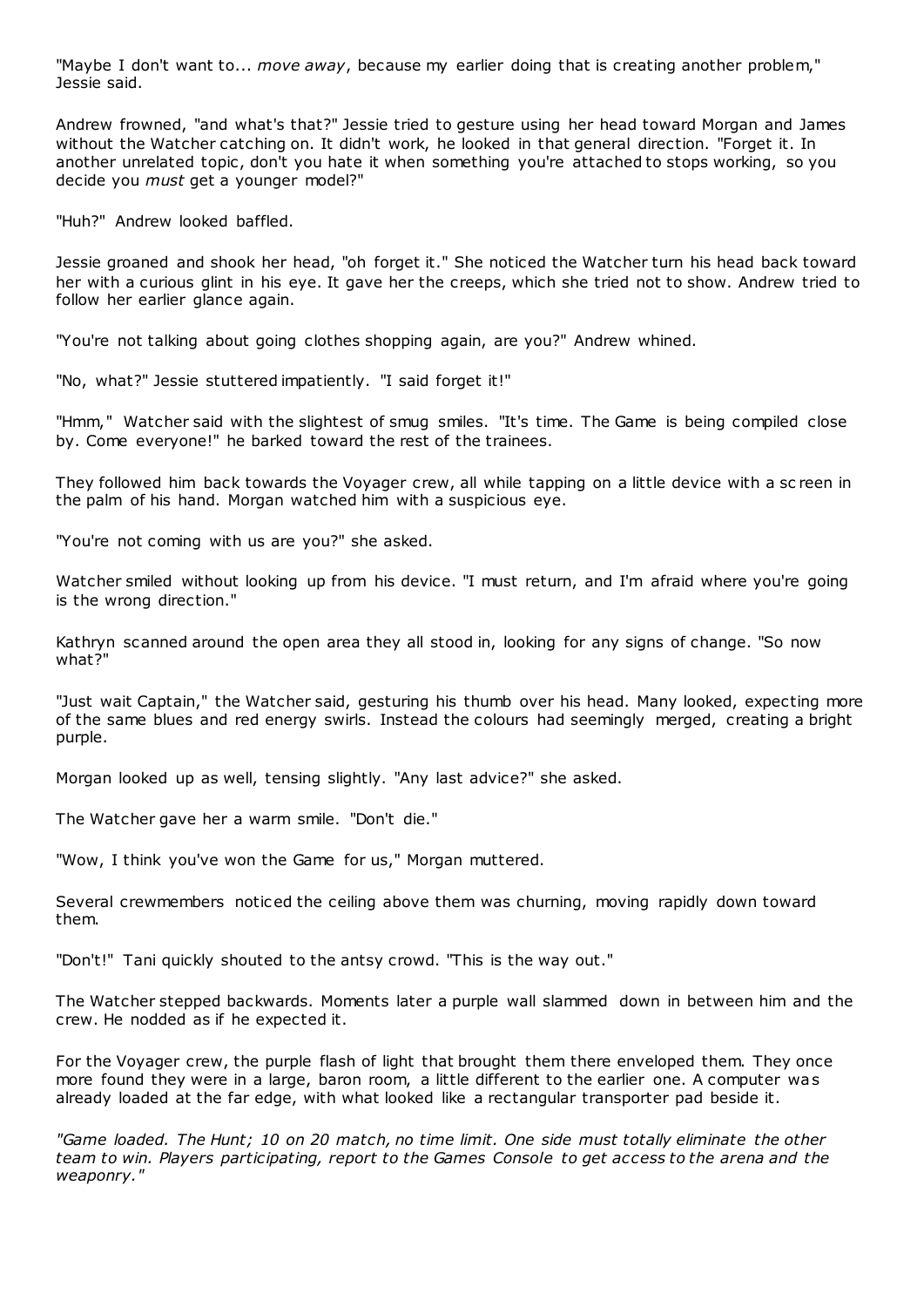"Maybe I don't want to... *move away*, because my earlier doing that is creating another problem," Jessie said.

Andrew frowned, "and what's that?" Jessie tried to gesture using her head toward Morgan and James without the Watcher catching on. It didn't work, he looked in that general direction. "Forget it. In another unrelated topic, don't you hate it when something you're attached to stops working, so you decide you *must* get a younger model?"

"Huh?" Andrew looked baffled.

Jessie groaned and shook her head, "oh forget it." She noticed the Watcher turn his head back toward her with a curious glint in his eye. It gave her the creeps, which she tried not to show. Andrew tried to follow her earlier glance again.

"You're not talking about going clothes shopping again, are you?" Andrew whined.

"No, what?" Jessie stuttered impatiently. "I said forget it!"

"Hmm," Watcher said with the slightest of smug smiles. "It's time. The Game is being compiled close by. Come everyone!" he barked toward the rest of the trainees.

They followed him back towards the Voyager crew, all while tapping on a little device with a sc reen in the palm of his hand. Morgan watched him with a suspicious eye.

"You're not coming with us are you?" she asked.

Watcher smiled without looking up from his device. "I must return, and I'm afraid where you're going is the wrong direction."

Kathryn scanned around the open area they all stood in, looking for any signs of change. "So now what?"

"Just wait Captain," the Watcher said, gesturing his thumb over his head. Many looked, expecting more of the same blues and red energy swirls. Instead the colours had seemingly merged, creating a bright purple.

Morgan looked up as well, tensing slightly. "Any last advice?" she asked.

The Watcher gave her a warm smile. "Don't die."

"Wow, I think you've won the Game for us," Morgan muttered.

Several crewmembers noticed the ceiling above them was churning, moving rapidly down toward them.

"Don't!" Tani quickly shouted to the antsy crowd. "This is the way out."

The Watcher stepped backwards. Moments later a purple wall slammed down in between him and the crew. He nodded as if he expected it.

For the Voyager crew, the purple flash of light that brought them there enveloped them. They once more found they were in a large, baron room, a little different to the earlier one. A computer was already loaded at the far edge, with what looked like a rectangular transporter pad beside it.

*"Game loaded. The Hunt; 10 on 20 match, no time limit. One side must totally eliminate the other team to win. Players participating, report to the Games Console to get access to the arena and the weaponry."*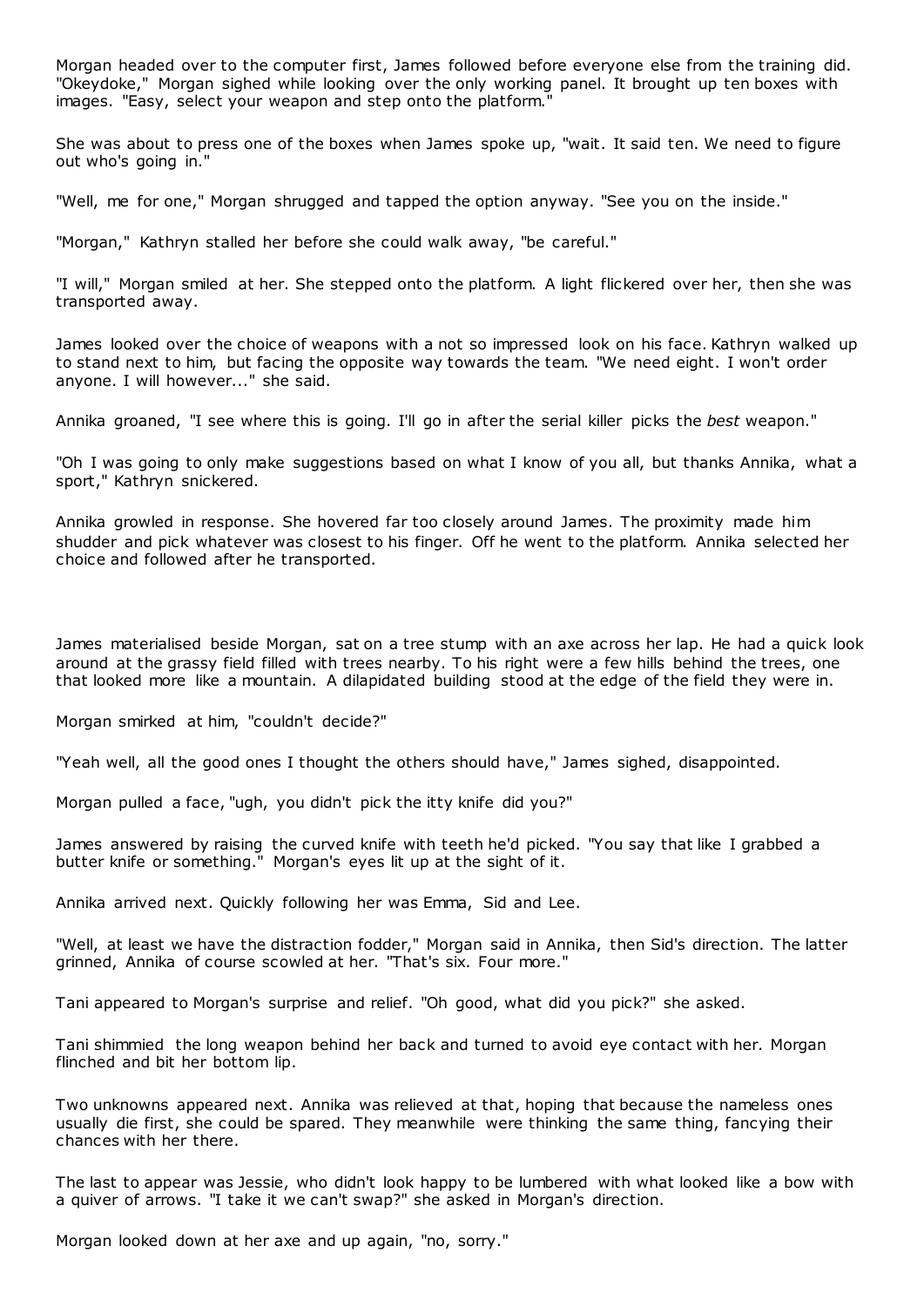Morgan headed over to the computer first, James followed before everyone else from the training did. "Okeydoke," Morgan sighed while looking over the only working panel. It brought up ten boxes with images. "Easy, select your weapon and step onto the platform.

She was about to press one of the boxes when James spoke up, "wait. It said ten. We need to figure out who's going in."

"Well, me for one," Morgan shrugged and tapped the option anyway. "See you on the inside."

"Morgan," Kathryn stalled her before she could walk away, "be careful."

"I will," Morgan smiled at her. She stepped onto the platform. A light flickered over her, then she was transported away.

James looked over the choice of weapons with a not so impressed look on his face. Kathryn walked up to stand next to him, but facing the opposite way towards the team. "We need eight. I won't order anyone. I will however..." she said.

Annika groaned, "I see where this is going. I'll go in after the serial killer picks the *best* weapon."

"Oh I was going to only make suggestions based on what I know of you all, but thanks Annika, what a sport," Kathryn snickered.

Annika growled in response. She hovered far too closely around James. The proximity made him shudder and pick whatever was closest to his finger. Off he went to the platform. Annika selected her choice and followed after he transported.

James materialised beside Morgan, sat on a tree stump with an axe across her lap. He had a quick look around at the grassy field filled with trees nearby. To his right were a few hills behind the trees, one that looked more like a mountain. A dilapidated building stood at the edge of the field they were in.

Morgan smirked at him, "couldn't decide?"

"Yeah well, all the good ones I thought the others should have," James sighed, disappointed.

Morgan pulled a face, "ugh, you didn't pick the itty knife did you?"

James answered by raising the curved knife with teeth he'd picked. "You say that like I grabbed a butter knife or something." Morgan's eyes lit up at the sight of it.

Annika arrived next. Quickly following her was Emma, Sid and Lee.

"Well, at least we have the distraction fodder," Morgan said in Annika, then Sid's direction. The latter grinned, Annika of course scowled at her. "That's six. Four more."

Tani appeared to Morgan's surprise and relief. "Oh good, what did you pick?" she asked.

Tani shimmied the long weapon behind her back and turned to avoid eye contact with her. Morgan flinched and bit her bottom lip.

Two unknowns appeared next. Annika was relieved at that, hoping that because the nameless ones usually die first, she could be spared. They meanwhile were thinking the same thing, fancying their chances with her there.

The last to appear was Jessie, who didn't look happy to be lumbered with what looked like a bow with a quiver of arrows. "I take it we can't swap?" she asked in Morgan's direction.

Morgan looked down at her axe and up again, "no, sorry."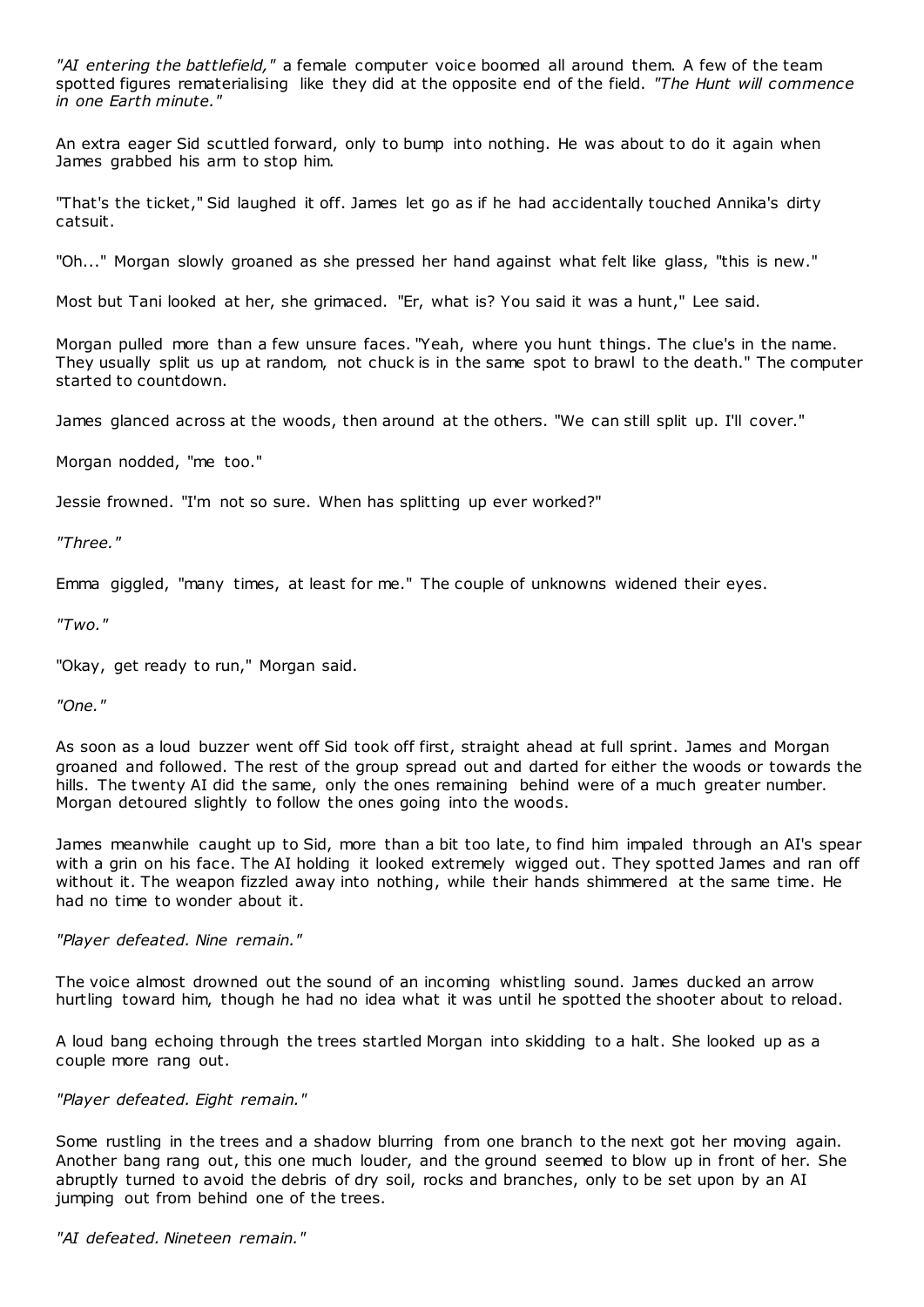*"AI entering the battlefield,"* a female computer voice boomed all around them. A few of the team spotted figures rematerialising like they did at the opposite end of the field. *"The Hunt will commence in one Earth minute."*

An extra eager Sid scuttled forward, only to bump into nothing. He was about to do it again when James grabbed his arm to stop him.

"That's the ticket," Sid laughed it off. James let go as if he had accidentally touched Annika's dirty catsuit.

"Oh..." Morgan slowly groaned as she pressed her hand against what felt like glass, "this is new."

Most but Tani looked at her, she grimaced. "Er, what is? You said it was a hunt," Lee said.

Morgan pulled more than a few unsure faces. "Yeah, where you hunt things. The clue's in the name. They usually split us up at random, not chuck is in the same spot to brawl to the death." The computer started to countdown.

James glanced across at the woods, then around at the others. "We can still split up. I'll cover."

Morgan nodded, "me too."

Jessie frowned. "I'm not so sure. When has splitting up ever worked?"

*"Three."*

Emma giggled, "many times, at least for me." The couple of unknowns widened their eyes.

*"Two."*

"Okay, get ready to run," Morgan said.

*"One."*

As soon as a loud buzzer went off Sid took off first, straight ahead at full sprint. James and Morgan groaned and followed. The rest of the group spread out and darted for either the woods or towards the hills. The twenty AI did the same, only the ones remaining behind were of a much greater number. Morgan detoured slightly to follow the ones going into the woods.

James meanwhile caught up to Sid, more than a bit too late, to find him impaled through an AI's spear with a grin on his face. The AI holding it looked extremely wigged out. They spotted James and ran off without it. The weapon fizzled away into nothing, while their hands shimmered at the same time. He had no time to wonder about it.

### *"Player defeated. Nine remain."*

The voice almost drowned out the sound of an incoming whistling sound. James ducked an arrow hurtling toward him, though he had no idea what it was until he spotted the shooter about to reload.

A loud bang echoing through the trees startled Morgan into skidding to a halt. She looked up as a couple more rang out.

### *"Player defeated. Eight remain."*

Some rustling in the trees and a shadow blurring from one branch to the next got her moving again. Another bang rang out, this one much louder, and the ground seemed to blow up in front of her. She abruptly turned to avoid the debris of dry soil, rocks and branches, only to be set upon by an AI jumping out from behind one of the trees.

*"AI defeated. Nineteen remain."*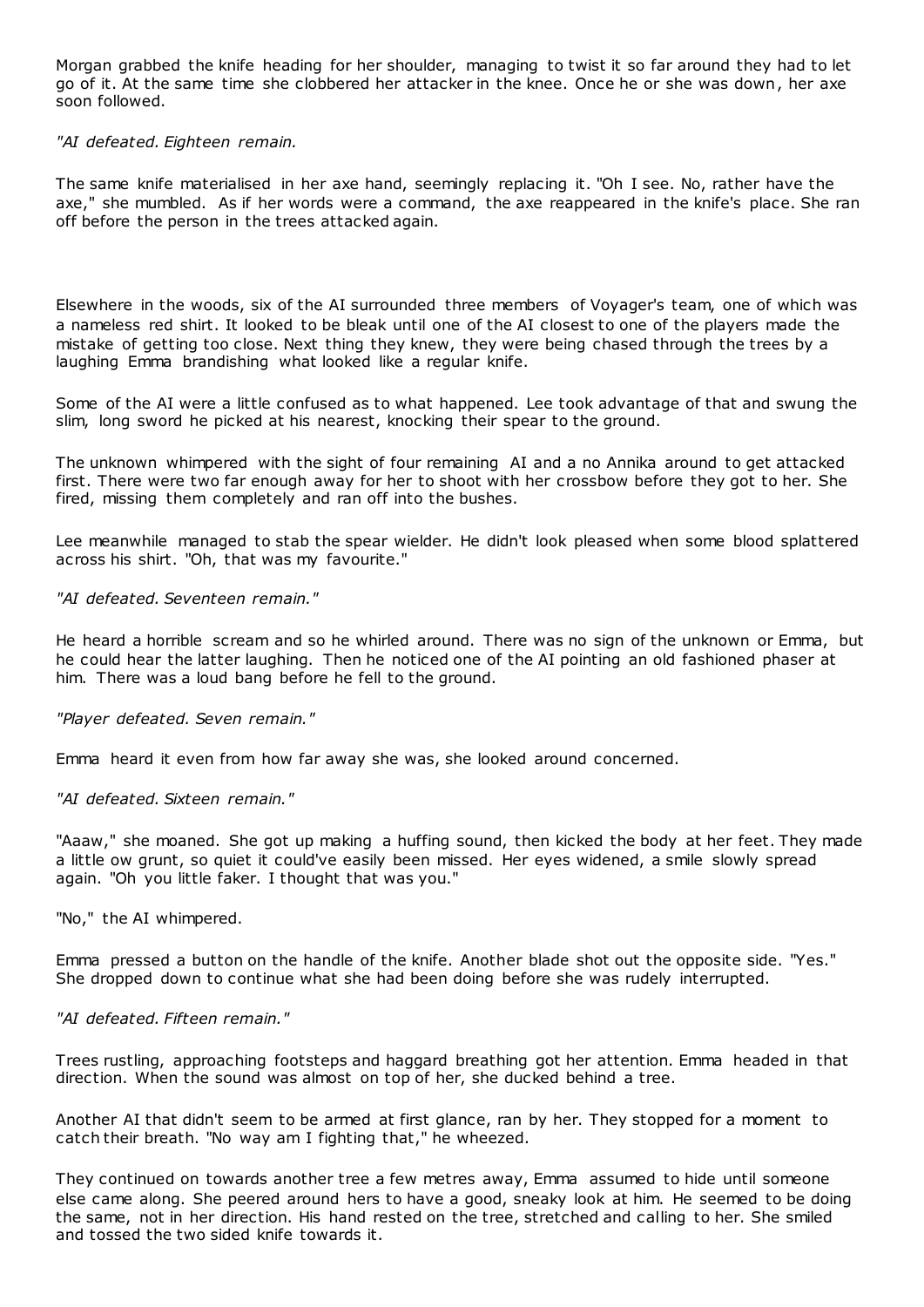Morgan grabbed the knife heading for her shoulder, managing to twist it so far around they had to let go of it. At the same time she clobbered her attacker in the knee. Once he or she was down, her axe soon followed.

### *"AI defeated. Eighteen remain.*

The same knife materialised in her axe hand, seemingly replacing it. "Oh I see. No, rather have the axe," she mumbled. As if her words were a command, the axe reappeared in the knife's place. She ran off before the person in the trees attacked again.

Elsewhere in the woods, six of the AI surrounded three members of Voyager's team, one of which was a nameless red shirt. It looked to be bleak until one of the AI closest to one of the players made the mistake of getting too close. Next thing they knew, they were being chased through the trees by a laughing Emma brandishing what looked like a regular knife.

Some of the AI were a little confused as to what happened. Lee took advantage of that and swung the slim, long sword he picked at his nearest, knocking their spear to the ground.

The unknown whimpered with the sight of four remaining AI and a no Annika around to get attacked first. There were two far enough away for her to shoot with her crossbow before they got to her. She fired, missing them completely and ran off into the bushes.

Lee meanwhile managed to stab the spear wielder. He didn't look pleased when some blood splattered across his shirt. "Oh, that was my favourite."

## *"AI defeated. Seventeen remain."*

He heard a horrible scream and so he whirled around. There was no sign of the unknown or Emma, but he could hear the latter laughing. Then he noticed one of the AI pointing an old fashioned phaser at him. There was a loud bang before he fell to the ground.

### *"Player defeated. Seven remain."*

Emma heard it even from how far away she was, she looked around concerned.

### *"AI defeated. Sixteen remain."*

"Aaaw," she moaned. She got up making a huffing sound, then kicked the body at her feet. They made a little ow grunt, so quiet it could've easily been missed. Her eyes widened, a smile slowly spread again. "Oh you little faker. I thought that was you."

### "No," the AI whimpered.

Emma pressed a button on the handle of the knife. Another blade shot out the opposite side. "Yes." She dropped down to continue what she had been doing before she was rudely interrupted.

### *"AI defeated. Fifteen remain."*

Trees rustling, approaching footsteps and haggard breathing got her attention. Emma headed in that direction. When the sound was almost on top of her, she ducked behind a tree.

Another AI that didn't seem to be armed at first glance, ran by her. They stopped for a moment to catch their breath. "No way am I fighting that," he wheezed.

They continued on towards another tree a few metres away, Emma assumed to hide until someone else came along. She peered around hers to have a good, sneaky look at him. He seemed to be doing the same, not in her direction. His hand rested on the tree, stretched and calling to her. She smiled and tossed the two sided knife towards it.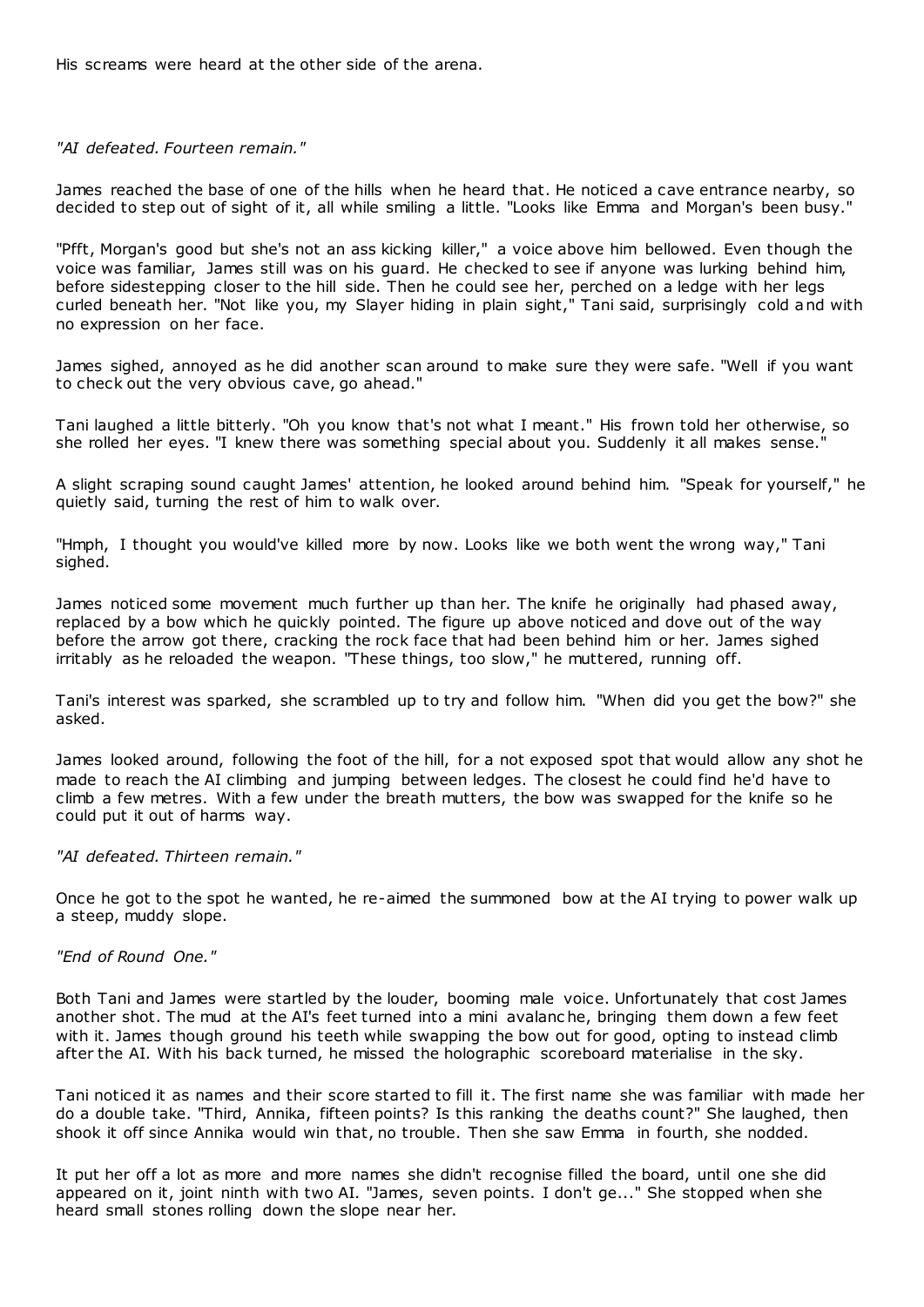His screams were heard at the other side of the arena.

*"AI defeated. Fourteen remain."*

James reached the base of one of the hills when he heard that. He noticed a cave entrance nearby, so decided to step out of sight of it, all while smiling a little. "Looks like Emma and Morgan's been busy."

"Pfft, Morgan's good but she's not an ass kicking killer," a voice above him bellowed. Even though the voice was familiar, James still was on his guard. He checked to see if anyone was lurking behind him, before sidestepping closer to the hill side. Then he could see her, perched on a ledge with her legs curled beneath her. "Not like you, my Slayer hiding in plain sight," Tani said, surprisingly cold and with no expression on her face.

James sighed, annoyed as he did another scan around to make sure they were safe. "Well if you want to check out the very obvious cave, go ahead."

Tani laughed a little bitterly. "Oh you know that's not what I meant." His frown told her otherwise, so she rolled her eyes. "I knew there was something special about you. Suddenly it all makes sense.

A slight scraping sound caught James' attention, he looked around behind him. "Speak for yourself," he quietly said, turning the rest of him to walk over.

"Hmph, I thought you would've killed more by now. Looks like we both went the wrong way," Tani sighed.

James noticed some movement much further up than her. The knife he originally had phased away, replaced by a bow which he quickly pointed. The figure up above noticed and dove out of the way before the arrow got there, cracking the rock face that had been behind him or her. James sighed irritably as he reloaded the weapon. "These things, too slow," he muttered, running off.

Tani's interest was sparked, she scrambled up to try and follow him. "When did you get the bow?" she asked.

James looked around, following the foot of the hill, for a not exposed spot that would allow any shot he made to reach the AI climbing and jumping between ledges. The closest he could find he'd have to climb a few metres. With a few under the breath mutters, the bow was swapped for the knife so he could put it out of harms way.

### *"AI defeated. Thirteen remain."*

Once he got to the spot he wanted, he re-aimed the summoned bow at the AI trying to power walk up a steep, muddy slope.

#### *"End of Round One."*

Both Tani and James were startled by the louder, booming male voice. Unfortunately that cost James another shot. The mud at the AI's feet turned into a mini avalanc he, bringing them down a few feet with it. James though ground his teeth while swapping the bow out for good, opting to instead climb after the AI. With his back turned, he missed the holographic scoreboard materialise in the sky.

Tani noticed it as names and their score started to fill it. The first name she was familiar with made her do a double take. "Third, Annika, fifteen points? Is this ranking the deaths count?" She laughed, then shook it off since Annika would win that, no trouble. Then she saw Emma in fourth, she nodded.

It put her off a lot as more and more names she didn't recognise filled the board, until one she did appeared on it, joint ninth with two AI. "James, seven points. I don't ge..." She stopped when she heard small stones rolling down the slope near her.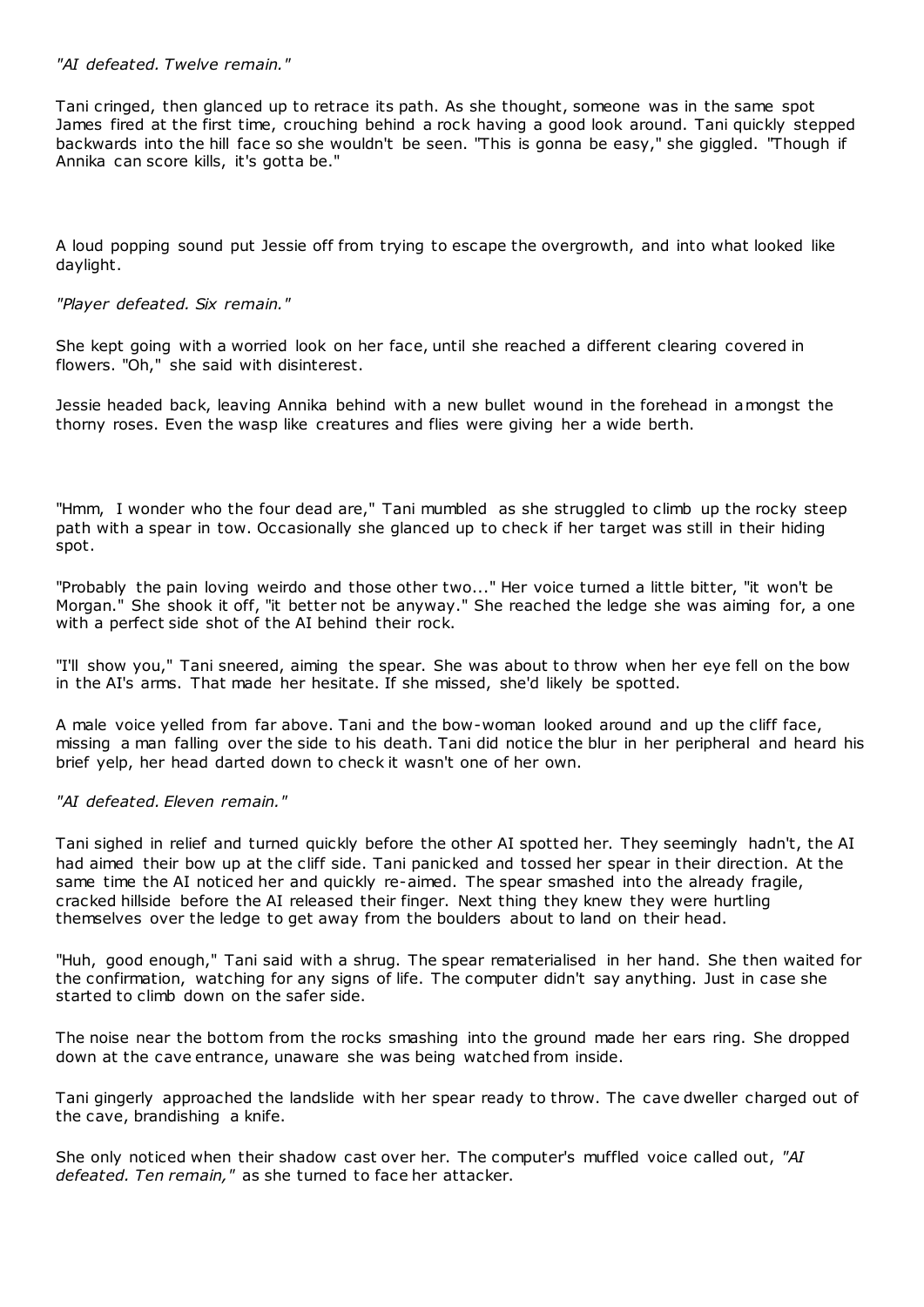## *"AI defeated. Twelve remain."*

Tani cringed, then glanced up to retrace its path. As she thought, someone was in the same spot James fired at the first time, crouching behind a rock having a good look around. Tani quickly stepped backwards into the hill face so she wouldn't be seen. "This is gonna be easy," she giggled. "Though if Annika can score kills, it's gotta be."

A loud popping sound put Jessie off from trying to escape the overgrowth, and into what looked like daylight.

## *"Player defeated. Six remain."*

She kept going with a worried look on her face, until she reached a different clearing covered in flowers. "Oh," she said with disinterest.

Jessie headed back, leaving Annika behind with a new bullet wound in the forehead in amongst the thorny roses. Even the wasp like creatures and flies were giving her a wide berth.

"Hmm, I wonder who the four dead are," Tani mumbled as she struggled to climb up the rocky steep path with a spear in tow. Occasionally she glanced up to check if her target was still in their hiding spot.

"Probably the pain loving weirdo and those other two..." Her voice turned a little bitter, "it won't be Morgan." She shook it off, "it better not be anyway." She reached the ledge she was aiming for, a one with a perfect side shot of the AI behind their rock.

"I'll show you," Tani sneered, aiming the spear. She was about to throw when her eye fell on the bow in the AI's arms. That made her hesitate. If she missed, she'd likely be spotted.

A male voice yelled from far above. Tani and the bow-woman looked around and up the cliff face, missing a man falling over the side to his death. Tani did notice the blur in her peripheral and heard his brief yelp, her head darted down to check it wasn't one of her own.

## *"AI defeated. Eleven remain."*

Tani sighed in relief and turned quickly before the other AI spotted her. They seemingly hadn't, the AI had aimed their bow up at the cliff side. Tani panicked and tossed her spear in their direction. At the same time the AI noticed her and quickly re-aimed. The spear smashed into the already fragile, cracked hillside before the AI released their finger. Next thing they knew they were hurtling themselves over the ledge to get away from the boulders about to land on their head.

"Huh, good enough," Tani said with a shrug. The spear rematerialised in her hand. She then waited for the confirmation, watching for any signs of life. The computer didn't say anything. Just in case she started to climb down on the safer side.

The noise near the bottom from the rocks smashing into the ground made her ears ring. She dropped down at the cave entrance, unaware she was being watched from inside.

Tani gingerly approached the landslide with her spear ready to throw. The cave dweller charged out of the cave, brandishing a knife.

She only noticed when their shadow cast over her. The computer's muffled voice called out, *"AI defeated. Ten remain,"* as she turned to face her attacker.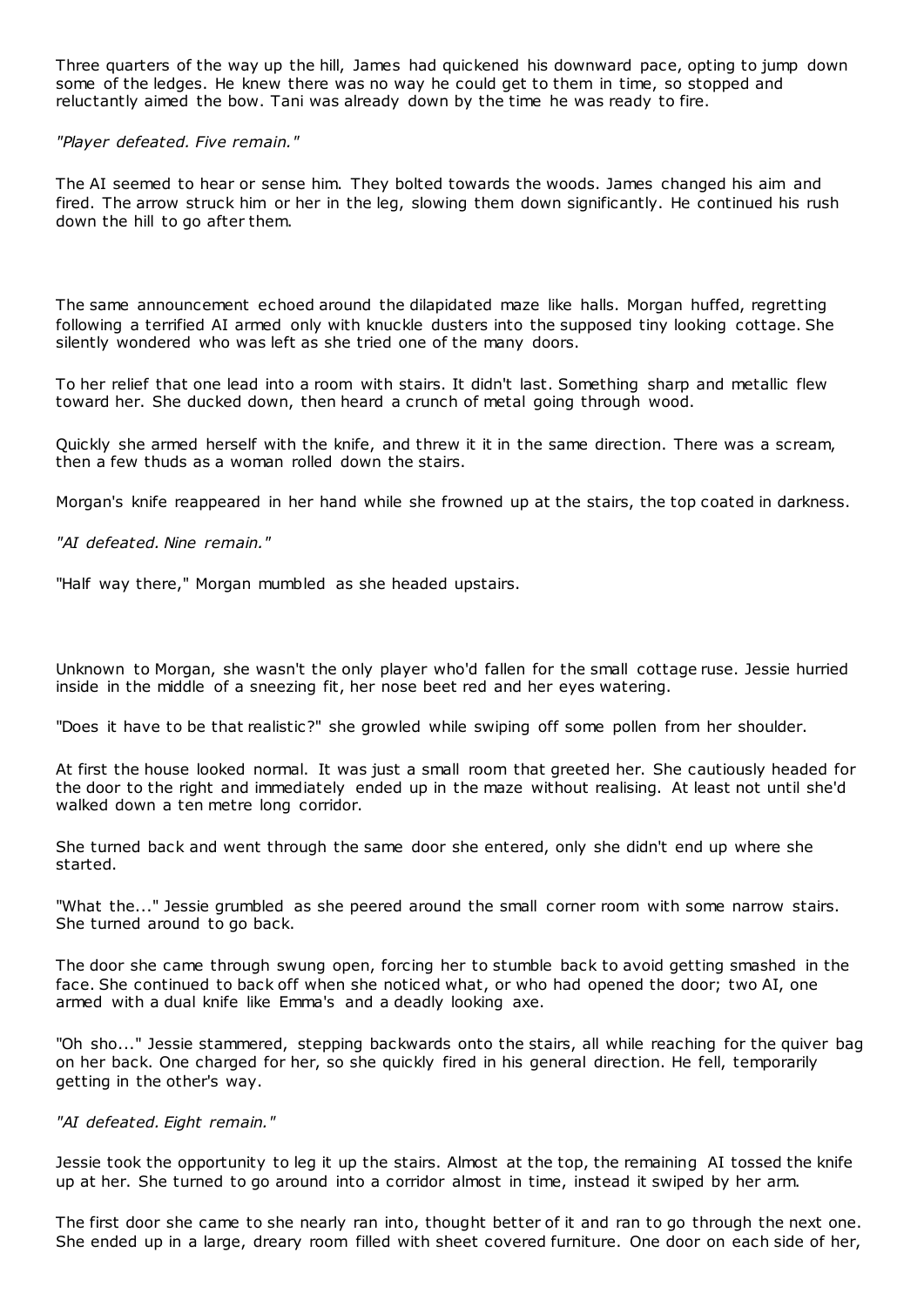Three quarters of the way up the hill, James had quickened his downward pace, opting to jump down some of the ledges. He knew there was no way he could get to them in time, so stopped and reluctantly aimed the bow. Tani was already down by the time he was ready to fire.

### *"Player defeated. Five remain."*

The AI seemed to hear or sense him. They bolted towards the woods. James changed his aim and fired. The arrow struck him or her in the leg, slowing them down significantly. He continued his rush down the hill to go after them.

The same announcement echoed around the dilapidated maze like halls. Morgan huffed, regretting following a terrified AI armed only with knuckle dusters into the supposed tiny looking cottage. She silently wondered who was left as she tried one of the many doors.

To her relief that one lead into a room with stairs. It didn't last. Something sharp and metallic flew toward her. She ducked down, then heard a crunch of metal going through wood.

Quickly she armed herself with the knife, and threw it it in the same direction. There was a scream, then a few thuds as a woman rolled down the stairs.

Morgan's knife reappeared in her hand while she frowned up at the stairs, the top coated in darkness.

*"AI defeated. Nine remain."*

"Half way there," Morgan mumbled as she headed upstairs.

Unknown to Morgan, she wasn't the only player who'd fallen for the small cottage ruse. Jessie hurried inside in the middle of a sneezing fit, her nose beet red and her eyes watering.

"Does it have to be that realistic?" she growled while swiping off some pollen from her shoulder.

At first the house looked normal. It was just a small room that greeted her. She cautiously headed for the door to the right and immediately ended up in the maze without realising. At least not until she'd walked down a ten metre long corridor.

She turned back and went through the same door she entered, only she didn't end up where she started.

"What the..." Jessie grumbled as she peered around the small corner room with some narrow stairs. She turned around to go back.

The door she came through swung open, forcing her to stumble back to avoid getting smashed in the face. She continued to back off when she noticed what, or who had opened the door; two AI, one armed with a dual knife like Emma's and a deadly looking axe.

"Oh sho..." Jessie stammered, stepping backwards onto the stairs, all while reaching for the quiver bag on her back. One charged for her, so she quickly fired in his general direction. He fell, temporarily getting in the other's way.

### *"AI defeated. Eight remain."*

Jessie took the opportunity to leg it up the stairs. Almost at the top, the remaining AI tossed the knife up at her. She turned to go around into a corridor almost in time, instead it swiped by her arm.

The first door she came to she nearly ran into, thought better of it and ran to go through the next one. She ended up in a large, dreary room filled with sheet covered furniture. One door on each side of her,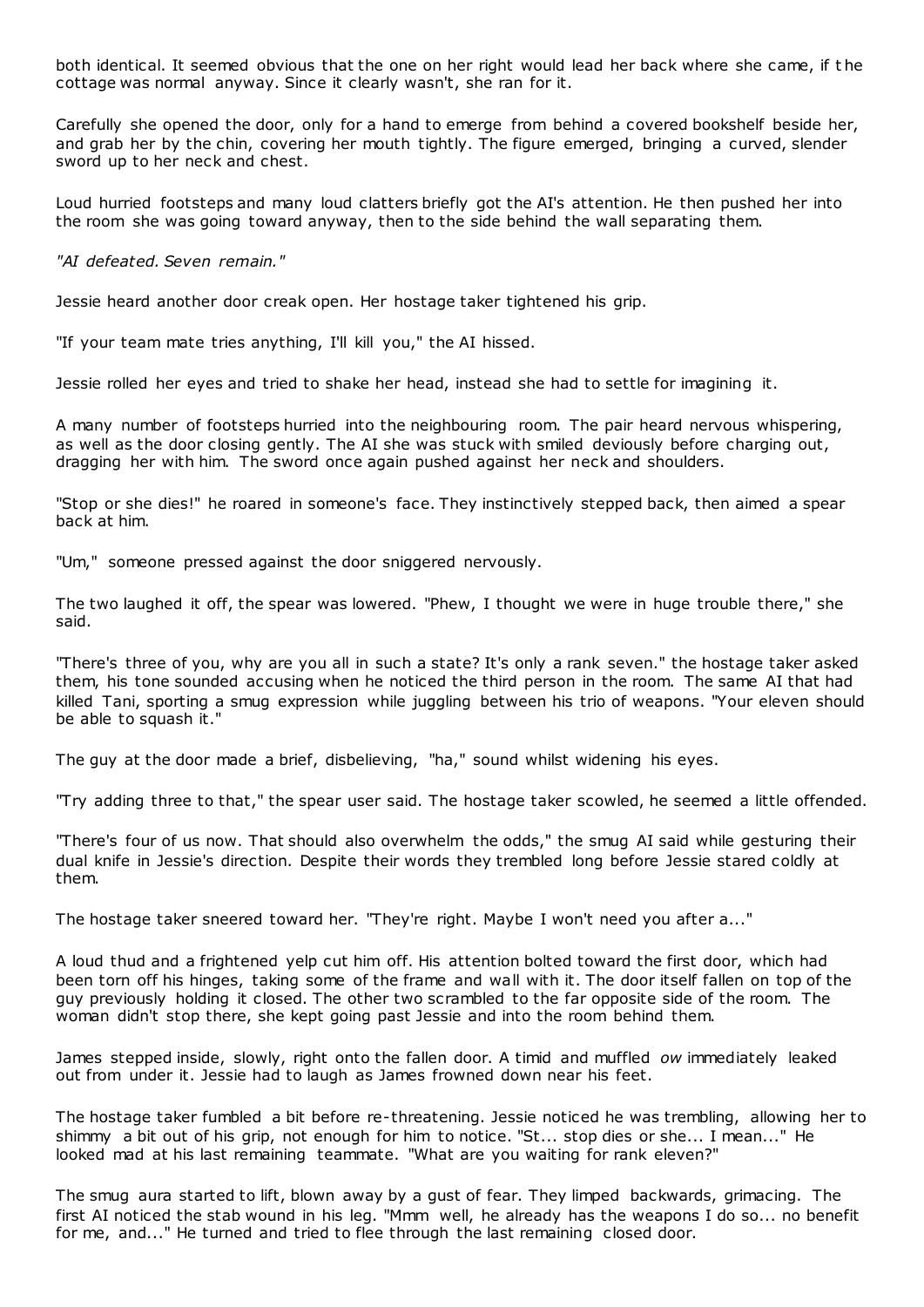both identical. It seemed obvious that the one on her right would lead her back where she came, if t he cottage was normal anyway. Since it clearly wasn't, she ran for it.

Carefully she opened the door, only for a hand to emerge from behind a covered bookshelf beside her, and grab her by the chin, covering her mouth tightly. The figure emerged, bringing a curved, slender sword up to her neck and chest.

Loud hurried footsteps and many loud clatters briefly got the AI's attention. He then pushed her into the room she was going toward anyway, then to the side behind the wall separating them.

*"AI defeated. Seven remain."*

Jessie heard another door creak open. Her hostage taker tightened his grip.

"If your team mate tries anything, I'll kill you," the AI hissed.

Jessie rolled her eyes and tried to shake her head, instead she had to settle for imagining it.

A many number of footsteps hurried into the neighbouring room. The pair heard nervous whispering, as well as the door closing gently. The AI she was stuck with smiled deviously before charging out, dragging her with him. The sword once again pushed against her neck and shoulders.

"Stop or she dies!" he roared in someone's face. They instinctively stepped back, then aimed a spear back at him.

"Um," someone pressed against the door sniggered nervously.

The two laughed it off, the spear was lowered. "Phew, I thought we were in huge trouble there," she said.

"There's three of you, why are you all in such a state? It's only a rank seven." the hostage taker asked them, his tone sounded accusing when he noticed the third person in the room. The same AI that had killed Tani, sporting a smug expression while juggling between his trio of weapons. "Your eleven should be able to squash it."

The guy at the door made a brief, disbelieving, "ha," sound whilst widening his eyes.

"Try adding three to that," the spear user said. The hostage taker scowled, he seemed a little offended.

"There's four of us now. That should also overwhelm the odds," the smug AI said while gesturing their dual knife in Jessie's direction. Despite their words they trembled long before Jessie stared coldly at them.

The hostage taker sneered toward her. "They're right. Maybe I won't need you after a..."

A loud thud and a frightened yelp cut him off. His attention bolted toward the first door, which had been torn off his hinges, taking some of the frame and wall with it. The door itself fallen on top of the guy previously holding it closed. The other two scrambled to the far opposite side of the room. The woman didn't stop there, she kept going past Jessie and into the room behind them.

James stepped inside, slowly, right onto the fallen door. A timid and muffled *ow* immediately leaked out from under it. Jessie had to laugh as James frowned down near his feet.

The hostage taker fumbled a bit before re-threatening. Jessie noticed he was trembling, allowing her to shimmy a bit out of his grip, not enough for him to notice. "St... stop dies or she... I mean..." He looked mad at his last remaining teammate. "What are you waiting for rank eleven?"

The smug aura started to lift, blown away by a gust of fear. They limped backwards, grimacing. The first AI noticed the stab wound in his leg. "Mmm well, he already has the weapons I do so... no benefit for me, and..." He turned and tried to flee through the last remaining closed door.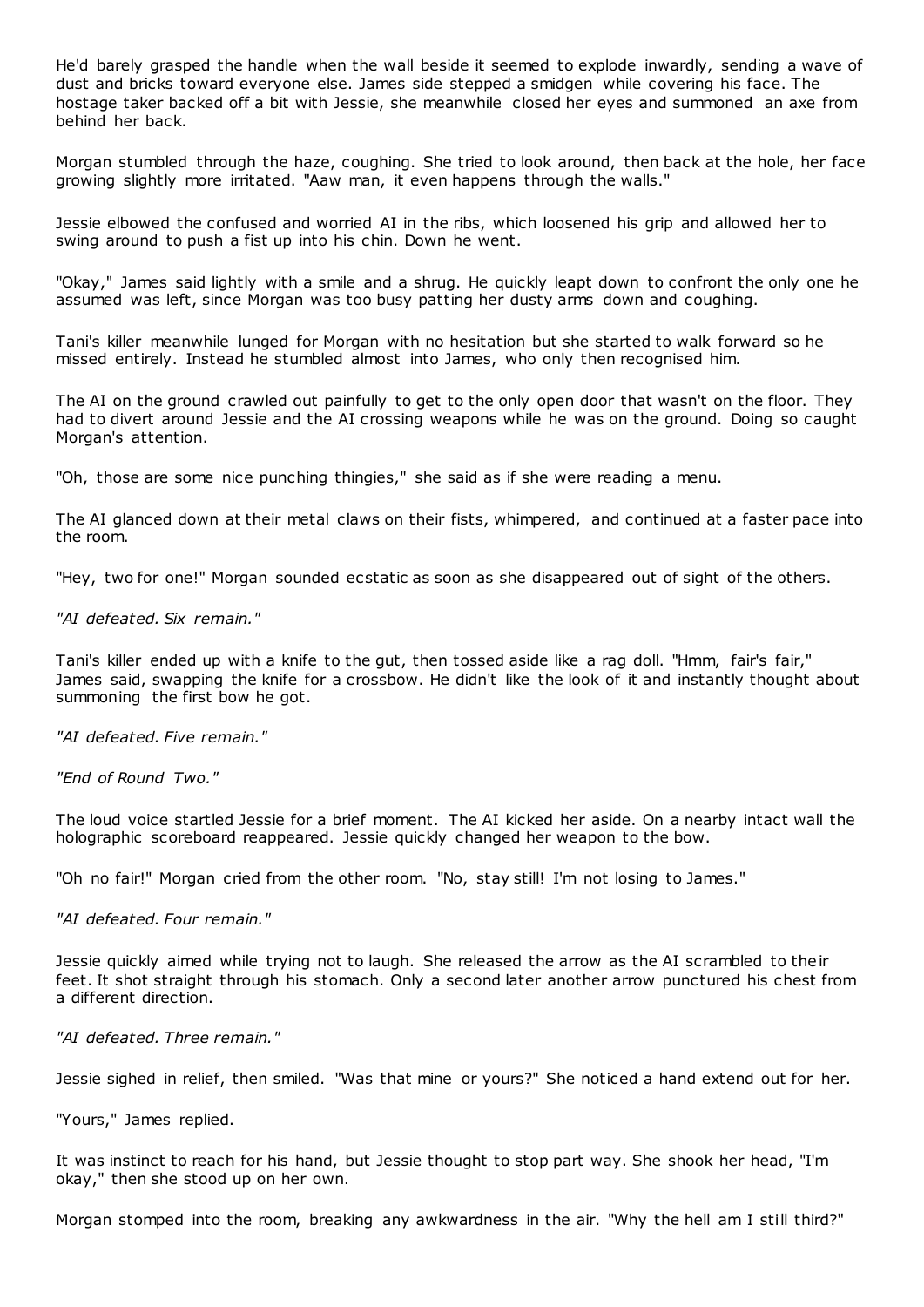He'd barely grasped the handle when the wall beside it seemed to explode inwardly, sending a wave of dust and bricks toward everyone else. James side stepped a smidgen while covering his face. The hostage taker backed off a bit with Jessie, she meanwhile closed her eyes and summoned an axe from behind her back.

Morgan stumbled through the haze, coughing. She tried to look around, then back at the hole, her face growing slightly more irritated. "Aaw man, it even happens through the walls."

Jessie elbowed the confused and worried AI in the ribs, which loosened his grip and allowed her to swing around to push a fist up into his chin. Down he went.

"Okay," James said lightly with a smile and a shrug. He quickly leapt down to confront the only one he assumed was left, since Morgan was too busy patting her dusty arms down and coughing.

Tani's killer meanwhile lunged for Morgan with no hesitation but she started to walk forward so he missed entirely. Instead he stumbled almost into James, who only then recognised him.

The AI on the ground crawled out painfully to get to the only open door that wasn't on the floor. They had to divert around Jessie and the AI crossing weapons while he was on the ground. Doing so caught Morgan's attention.

"Oh, those are some nice punching thingies," she said as if she were reading a menu.

The AI glanced down at their metal claws on their fists, whimpered, and continued at a faster pace into the room.

"Hey, two for one!" Morgan sounded ecstatic as soon as she disappeared out of sight of the others.

*"AI defeated. Six remain."*

Tani's killer ended up with a knife to the gut, then tossed aside like a rag doll. "Hmm, fair's fair," James said, swapping the knife for a crossbow. He didn't like the look of it and instantly thought about summoning the first bow he got.

*"AI defeated. Five remain."*

*"End of Round Two."*

The loud voice startled Jessie for a brief moment. The AI kicked her aside. On a nearby intact wall the holographic scoreboard reappeared. Jessie quickly changed her weapon to the bow.

"Oh no fair!" Morgan cried from the other room. "No, stay still! I'm not losing to James."

*"AI defeated. Four remain."*

Jessie quickly aimed while trying not to laugh. She released the arrow as the AI scrambled to their feet. It shot straight through his stomach. Only a second later another arrow punctured his chest from a different direction.

*"AI defeated. Three remain."*

Jessie sighed in relief, then smiled. "Was that mine or yours?" She noticed a hand extend out for her.

"Yours," James replied.

It was instinct to reach for his hand, but Jessie thought to stop part way. She shook her head, "I'm okay," then she stood up on her own.

Morgan stomped into the room, breaking any awkwardness in the air. "Why the hell am I still third?"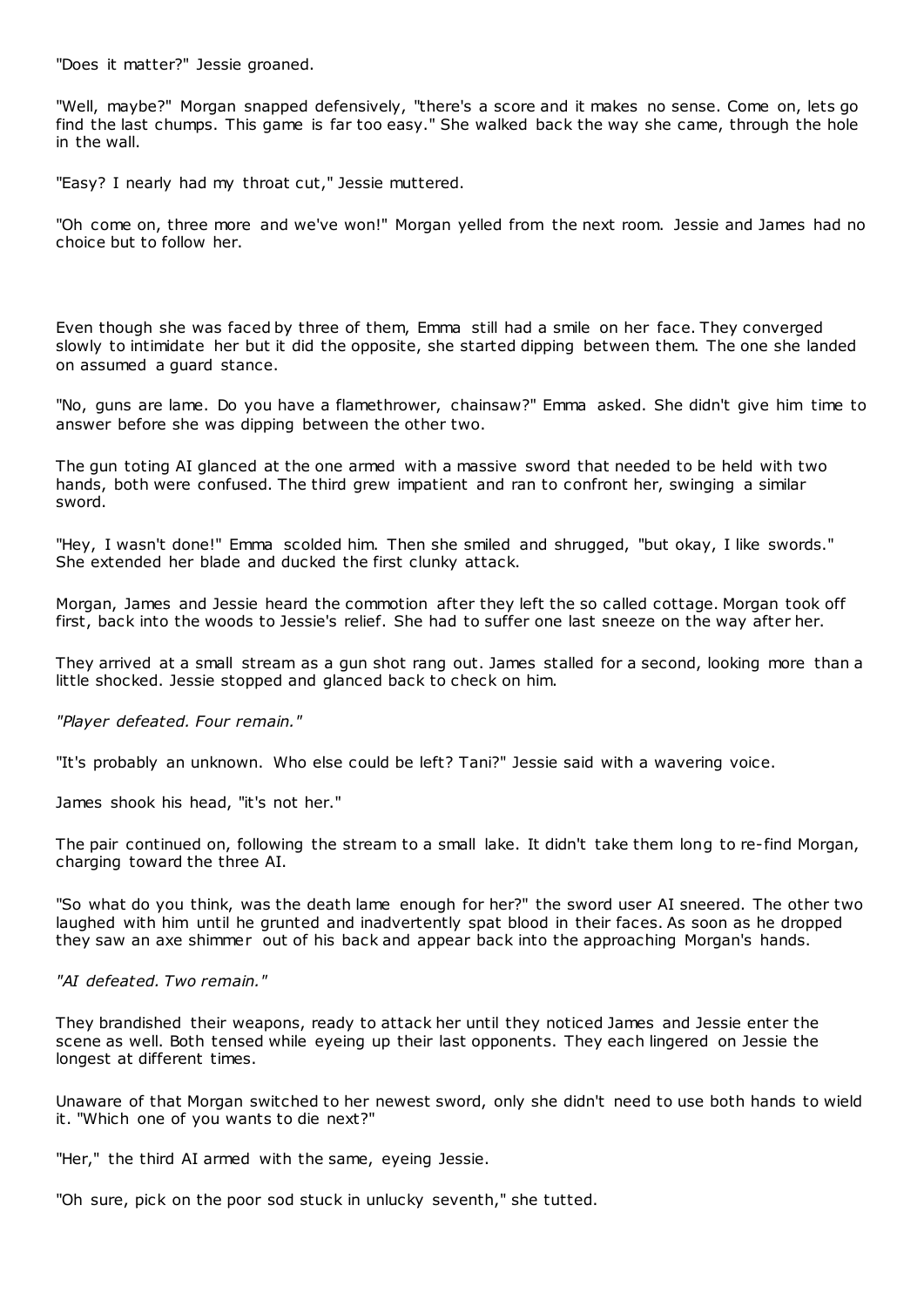"Does it matter?" Jessie groaned.

"Well, maybe?" Morgan snapped defensively, "there's a score and it makes no sense. Come on, lets go find the last chumps. This game is far too easy." She walked back the way she came, through the hole in the wall.

"Easy? I nearly had my throat cut," Jessie muttered.

"Oh come on, three more and we've won!" Morgan yelled from the next room. Jessie and James had no choice but to follow her.

Even though she was faced by three of them, Emma still had a smile on her face. They converged slowly to intimidate her but it did the opposite, she started dipping between them. The one she landed on assumed a guard stance.

"No, guns are lame. Do you have a flamethrower, chainsaw?" Emma asked. She didn't give him time to answer before she was dipping between the other two.

The gun toting AI glanced at the one armed with a massive sword that needed to be held with two hands, both were confused. The third grew impatient and ran to confront her, swinging a similar sword.

"Hey, I wasn't done!" Emma scolded him. Then she smiled and shrugged, "but okay, I like swords." She extended her blade and ducked the first clunky attack.

Morgan, James and Jessie heard the commotion after they left the so called cottage. Morgan took off first, back into the woods to Jessie's relief. She had to suffer one last sneeze on the way after her.

They arrived at a small stream as a gun shot rang out. James stalled for a second, looking more than a little shocked. Jessie stopped and glanced back to check on him.

*"Player defeated. Four remain."*

"It's probably an unknown. Who else could be left? Tani?" Jessie said with a wavering voice.

James shook his head, "it's not her."

The pair continued on, following the stream to a small lake. It didn't take them long to re-find Morgan, charging toward the three AI.

"So what do you think, was the death lame enough for her?" the sword user AI sneered. The other two laughed with him until he grunted and inadvertently spat blood in their faces. As soon as he dropped they saw an axe shimmer out of his back and appear back into the approaching Morgan's hands.

*"AI defeated. Two remain."*

They brandished their weapons, ready to attack her until they noticed James and Jessie enter the scene as well. Both tensed while eyeing up their last opponents. They each lingered on Jessie the longest at different times.

Unaware of that Morgan switched to her newest sword, only she didn't need to use both hands to wield it. "Which one of you wants to die next?"

"Her," the third AI armed with the same, eyeing Jessie.

"Oh sure, pick on the poor sod stuck in unlucky seventh," she tutted.